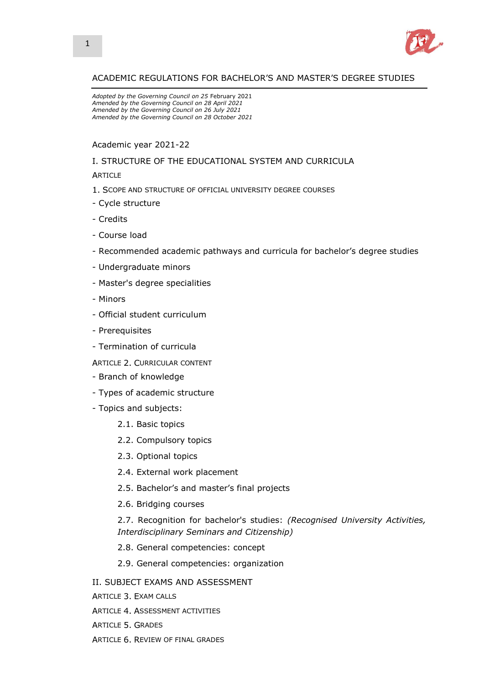

# ACADEMIC REGULATIONS FOR BACHELOR'S AND MASTER'S DEGREE STUDIES

*Adopted by the Governing Council on 25* February 2021 *Amended by the Governing Council on 28 April 2021 Amended by the Governing Council on 26 July 2021 Amended by the Governing Council on 28 October 2021*

### Academic year 2021-22

### I. STRUCTURE OF THE EDUCATIONAL SYSTEM AND CURRICULA

**ARTICLE** 

- 1. SCOPE AND STRUCTURE OF OFFICIAL UNIVERSITY DEGREE COURSES
- Cycle structure
- Credits
- Course load
- Recommended academic pathways and curricula for bachelor's degree studies
- Undergraduate minors
- Master's degree specialities
- Minors
- Official student curriculum
- Prerequisites
- Termination of curricula
- ARTICLE 2. CURRICULAR CONTENT
- Branch of knowledge
- Types of academic structure
- Topics and subjects:
	- 2.1. Basic topics
	- 2.2. Compulsory topics
	- 2.3. Optional topics
	- 2.4. External work placement
	- 2.5. Bachelor's and master's final projects
	- 2.6. Bridging courses
	- 2.7. Recognition for bachelor's studies: *(Recognised University Activities, Interdisciplinary Seminars and Citizenship)*
	- 2.8. General competencies: concept
	- 2.9. General competencies: organization
- II. SUBJECT EXAMS AND ASSESSMENT
- ARTICLE 3. EXAM CALLS
- ARTICLE 4. ASSESSMENT ACTIVITIES
- ARTICLE 5. GRADES
- ARTICLE 6. REVIEW OF FINAL GRADES

 $\overline{1}$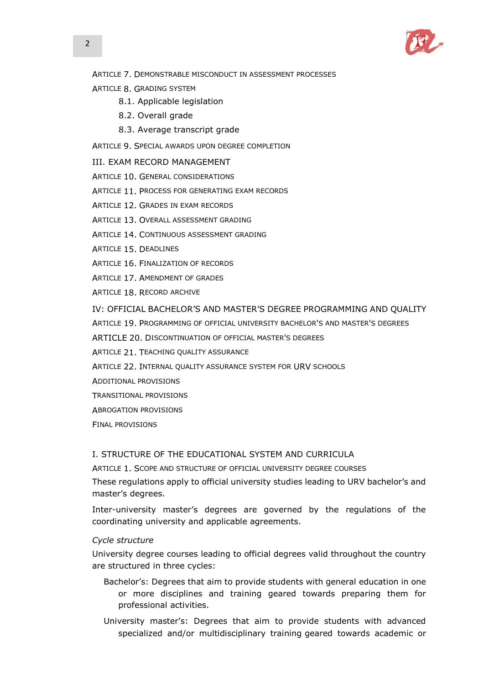

ARTICLE 7. DEMONSTRABLE MISCONDUCT IN ASSESSMENT PROCESSES

- ARTICLE 8. GRADING SYSTEM
	- 8.1. Applicable legislation
	- 8.2. Overall grade
	- 8.3. Average transcript grade
- ARTICLE 9. SPECIAL AWARDS UPON DEGREE COMPLETION

### III. EXAM RECORD MANAGEMENT

ARTICLE 10. GENERAL CONSIDERATIONS

- ARTICLE 11. PROCESS FOR GENERATING EXAM RECORDS
- ARTICLE 12. GRADES IN EXAM RECORDS
- ARTICLE 13. OVERALL ASSESSMENT GRADING
- ARTICLE 14. CONTINUOUS ASSESSMENT GRADING
- ARTICLE 15. DEADLINES
- ARTICLE 16. FINALIZATION OF RECORDS
- ARTICLE 17. AMENDMENT OF GRADES
- ARTICLE 18. RECORD ARCHIVE

## IV: OFFICIAL BACHELOR'S AND MASTER'S DEGREE PROGRAMMING AND QUALITY

- ARTICLE 19. PROGRAMMING OF OFFICIAL UNIVERSITY BACHELOR'S AND MASTER'S DEGREES
- ARTICLE 20. DISCONTINUATION OF OFFICIAL MASTER'S DEGREES
- ARTICLE 21. TEACHING QUALITY ASSURANCE
- ARTICLE 22. INTERNAL QUALITY ASSURANCE SYSTEM FOR URV SCHOOLS
- ADDITIONAL PROVISIONS
- TRANSITIONAL PROVISIONS
- ABROGATION PROVISIONS
- FINAL PROVISIONS

## I. STRUCTURE OF THE EDUCATIONAL SYSTEM AND CURRICULA

ARTICLE 1. SCOPE AND STRUCTURE OF OFFICIAL UNIVERSITY DEGREE COURSES

These regulations apply to official university studies leading to URV bachelor's and master's degrees.

Inter-university master's degrees are governed by the regulations of the coordinating university and applicable agreements.

## *Cycle structure*

University degree courses leading to official degrees valid throughout the country are structured in three cycles:

- Bachelor's: Degrees that aim to provide students with general education in one or more disciplines and training geared towards preparing them for professional activities.
- University master's: Degrees that aim to provide students with advanced specialized and/or multidisciplinary training geared towards academic or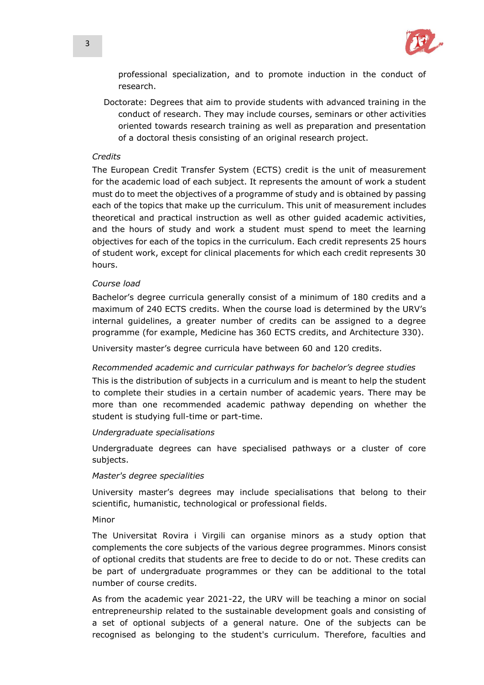

professional specialization, and to promote induction in the conduct of research.

Doctorate: Degrees that aim to provide students with advanced training in the conduct of research. They may include courses, seminars or other activities oriented towards research training as well as preparation and presentation of a doctoral thesis consisting of an original research project.

### *Credits*

The European Credit Transfer System (ECTS) credit is the unit of measurement for the academic load of each subject. It represents the amount of work a student must do to meet the objectives of a programme of study and is obtained by passing each of the topics that make up the curriculum. This unit of measurement includes theoretical and practical instruction as well as other guided academic activities, and the hours of study and work a student must spend to meet the learning objectives for each of the topics in the curriculum. Each credit represents 25 hours of student work, except for clinical placements for which each credit represents 30 hours.

### *Course load*

Bachelor's degree curricula generally consist of a minimum of 180 credits and a maximum of 240 ECTS credits. When the course load is determined by the URV's internal guidelines, a greater number of credits can be assigned to a degree programme (for example, Medicine has 360 ECTS credits, and Architecture 330).

University master's degree curricula have between 60 and 120 credits.

### *Recommended academic and curricular pathways for bachelor's degree studies*

This is the distribution of subjects in a curriculum and is meant to help the student to complete their studies in a certain number of academic years. There may be more than one recommended academic pathway depending on whether the student is studying full-time or part-time.

### *Undergraduate specialisations*

Undergraduate degrees can have specialised pathways or a cluster of core subjects.

### *Master's degree specialities*

University master's degrees may include specialisations that belong to their scientific, humanistic, technological or professional fields.

### Minor

The Universitat Rovira i Virgili can organise minors as a study option that complements the core subjects of the various degree programmes. Minors consist of optional credits that students are free to decide to do or not. These credits can be part of undergraduate programmes or they can be additional to the total number of course credits.

As from the academic year 2021-22, the URV will be teaching a minor on social entrepreneurship related to the sustainable development goals and consisting of a set of optional subjects of a general nature. One of the subjects can be recognised as belonging to the student's curriculum. Therefore, faculties and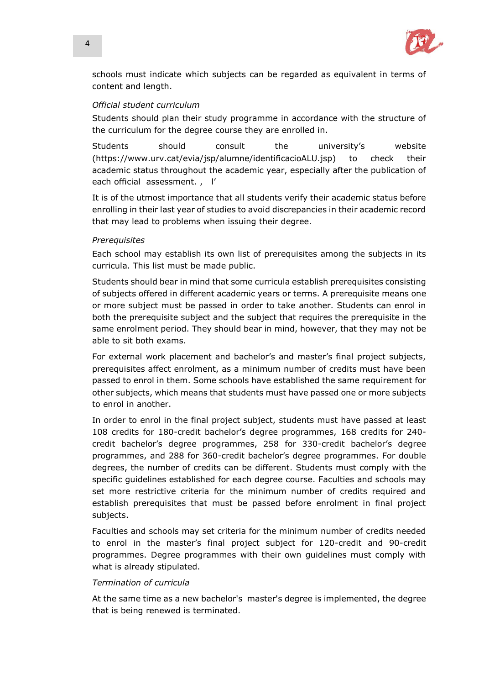

schools must indicate which subjects can be regarded as equivalent in terms of content and length.

# *Official student curriculum*

Students should plan their study programme in accordance with the structure of the curriculum for the degree course they are enrolled in.

Students should consult the university's website (https://www.urv.cat/evia/jsp/alumne/identificacioALU.jsp) to check their academic status throughout the academic year, especially after the publication of each official assessment. , l'

It is of the utmost importance that all students verify their academic status before enrolling in their last year of studies to avoid discrepancies in their academic record that may lead to problems when issuing their degree.

# *Prerequisites*

Each school may establish its own list of prerequisites among the subjects in its curricula. This list must be made public.

Students should bear in mind that some curricula establish prerequisites consisting of subjects offered in different academic years or terms. A prerequisite means one or more subject must be passed in order to take another. Students can enrol in both the prerequisite subject and the subject that requires the prerequisite in the same enrolment period. They should bear in mind, however, that they may not be able to sit both exams.

For external work placement and bachelor's and master's final project subjects, prerequisites affect enrolment, as a minimum number of credits must have been passed to enrol in them. Some schools have established the same requirement for other subjects, which means that students must have passed one or more subjects to enrol in another.

In order to enrol in the final project subject, students must have passed at least 108 credits for 180-credit bachelor's degree programmes, 168 credits for 240 credit bachelor's degree programmes, 258 for 330-credit bachelor's degree programmes, and 288 for 360-credit bachelor's degree programmes. For double degrees, the number of credits can be different. Students must comply with the specific guidelines established for each degree course. Faculties and schools may set more restrictive criteria for the minimum number of credits required and establish prerequisites that must be passed before enrolment in final project subjects.

Faculties and schools may set criteria for the minimum number of credits needed to enrol in the master's final project subject for 120-credit and 90-credit programmes. Degree programmes with their own guidelines must comply with what is already stipulated.

# *Termination of curricula*

At the same time as a new bachelor's master's degree is implemented, the degree that is being renewed is terminated.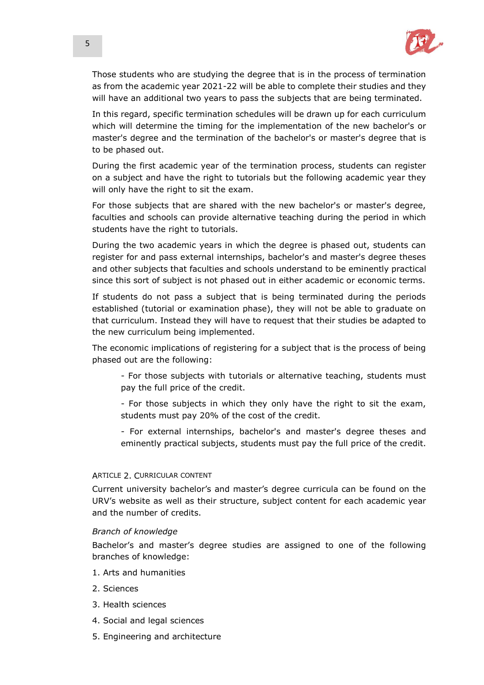

Those students who are studying the degree that is in the process of termination as from the academic year 2021-22 will be able to complete their studies and they will have an additional two years to pass the subjects that are being terminated.

In this regard, specific termination schedules will be drawn up for each curriculum which will determine the timing for the implementation of the new bachelor's or master's degree and the termination of the bachelor's or master's degree that is to be phased out.

During the first academic year of the termination process, students can register on a subject and have the right to tutorials but the following academic year they will only have the right to sit the exam.

For those subjects that are shared with the new bachelor's or master's degree, faculties and schools can provide alternative teaching during the period in which students have the right to tutorials.

During the two academic years in which the degree is phased out, students can register for and pass external internships, bachelor's and master's degree theses and other subjects that faculties and schools understand to be eminently practical since this sort of subject is not phased out in either academic or economic terms.

If students do not pass a subject that is being terminated during the periods established (tutorial or examination phase), they will not be able to graduate on that curriculum. Instead they will have to request that their studies be adapted to the new curriculum being implemented.

The economic implications of registering for a subject that is the process of being phased out are the following:

- For those subjects with tutorials or alternative teaching, students must pay the full price of the credit.

- For those subjects in which they only have the right to sit the exam, students must pay 20% of the cost of the credit.

- For external internships, bachelor's and master's degree theses and eminently practical subjects, students must pay the full price of the credit.

## ARTICLE 2. CURRICULAR CONTENT

Current university bachelor's and master's degree curricula can be found on the URV's website as well as their structure, subject content for each academic year and the number of credits.

### *Branch of knowledge*

Bachelor's and master's degree studies are assigned to one of the following branches of knowledge:

- 1. Arts and humanities
- 2. Sciences
- 3. Health sciences
- 4. Social and legal sciences
- 5. Engineering and architecture

 $\overline{1}$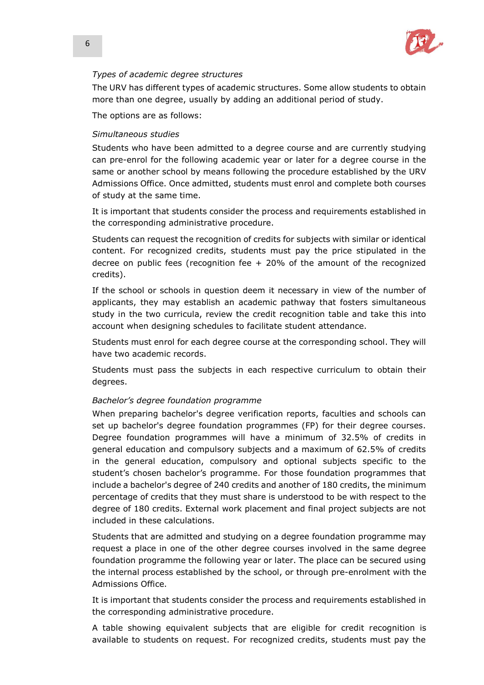

# *Types of academic degree structures*

The URV has different types of academic structures. Some allow students to obtain more than one degree, usually by adding an additional period of study.

The options are as follows:

# *Simultaneous studies*

Students who have been admitted to a degree course and are currently studying can pre-enrol for the following academic year or later for a degree course in the same or another school by means following the procedure established by the URV Admissions Office. Once admitted, students must enrol and complete both courses of study at the same time.

It is important that students consider the process and requirements established in the corresponding administrative procedure.

Students can request the recognition of credits for subjects with similar or identical content. For recognized credits, students must pay the price stipulated in the decree on public fees (recognition fee  $+$  20% of the amount of the recognized credits).

If the school or schools in question deem it necessary in view of the number of applicants, they may establish an academic pathway that fosters simultaneous study in the two curricula, review the credit recognition table and take this into account when designing schedules to facilitate student attendance.

Students must enrol for each degree course at the corresponding school. They will have two academic records.

Students must pass the subjects in each respective curriculum to obtain their degrees.

## *Bachelor's degree foundation programme*

When preparing bachelor's degree verification reports, faculties and schools can set up bachelor's degree foundation programmes (FP) for their degree courses. Degree foundation programmes will have a minimum of 32.5% of credits in general education and compulsory subjects and a maximum of 62.5% of credits in the general education, compulsory and optional subjects specific to the student's chosen bachelor's programme. For those foundation programmes that include a bachelor's degree of 240 credits and another of 180 credits, the minimum percentage of credits that they must share is understood to be with respect to the degree of 180 credits. External work placement and final project subjects are not included in these calculations.

Students that are admitted and studying on a degree foundation programme may request a place in one of the other degree courses involved in the same degree foundation programme the following year or later. The place can be secured using the internal process established by the school, or through pre-enrolment with the Admissions Office.

It is important that students consider the process and requirements established in the corresponding administrative procedure.

A table showing equivalent subjects that are eligible for credit recognition is available to students on request. For recognized credits, students must pay the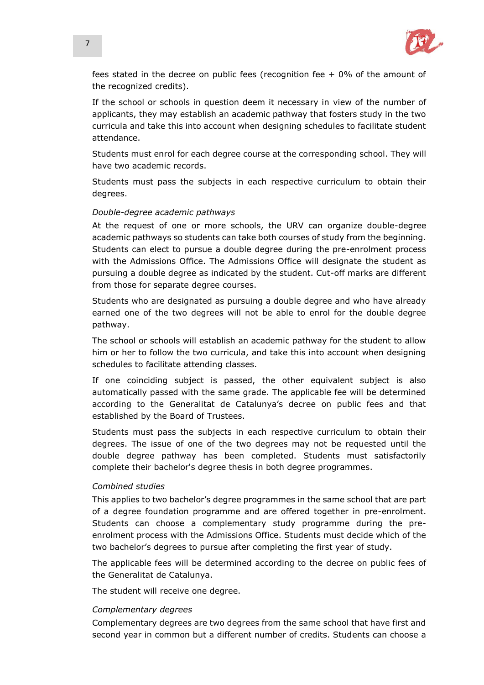

fees stated in the decree on public fees (recognition fee  $+$  0% of the amount of the recognized credits).

If the school or schools in question deem it necessary in view of the number of applicants, they may establish an academic pathway that fosters study in the two curricula and take this into account when designing schedules to facilitate student attendance.

Students must enrol for each degree course at the corresponding school. They will have two academic records.

Students must pass the subjects in each respective curriculum to obtain their degrees.

### *Double-degree academic pathways*

At the request of one or more schools, the URV can organize double-degree academic pathways so students can take both courses of study from the beginning. Students can elect to pursue a double degree during the pre-enrolment process with the Admissions Office. The Admissions Office will designate the student as pursuing a double degree as indicated by the student. Cut-off marks are different from those for separate degree courses.

Students who are designated as pursuing a double degree and who have already earned one of the two degrees will not be able to enrol for the double degree pathway.

The school or schools will establish an academic pathway for the student to allow him or her to follow the two curricula, and take this into account when designing schedules to facilitate attending classes.

If one coinciding subject is passed, the other equivalent subject is also automatically passed with the same grade. The applicable fee will be determined according to the Generalitat de Catalunya's decree on public fees and that established by the Board of Trustees.

Students must pass the subjects in each respective curriculum to obtain their degrees. The issue of one of the two degrees may not be requested until the double degree pathway has been completed. Students must satisfactorily complete their bachelor's degree thesis in both degree programmes.

### *Combined studies*

This applies to two bachelor's degree programmes in the same school that are part of a degree foundation programme and are offered together in pre-enrolment. Students can choose a complementary study programme during the preenrolment process with the Admissions Office. Students must decide which of the two bachelor's degrees to pursue after completing the first year of study.

The applicable fees will be determined according to the decree on public fees of the Generalitat de Catalunya.

The student will receive one degree.

## *Complementary degrees*

Complementary degrees are two degrees from the same school that have first and second year in common but a different number of credits. Students can choose a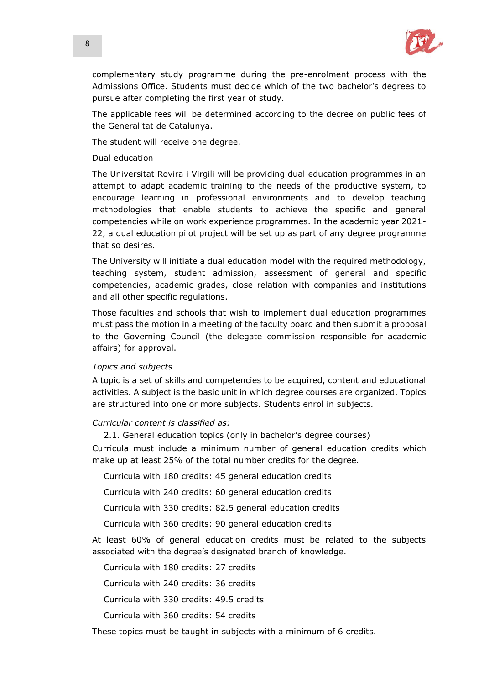

complementary study programme during the pre-enrolment process with the Admissions Office. Students must decide which of the two bachelor's degrees to pursue after completing the first year of study.

The applicable fees will be determined according to the decree on public fees of the Generalitat de Catalunya.

The student will receive one degree.

### Dual education

The Universitat Rovira i Virgili will be providing dual education programmes in an attempt to adapt academic training to the needs of the productive system, to encourage learning in professional environments and to develop teaching methodologies that enable students to achieve the specific and general competencies while on work experience programmes. In the academic year 2021- 22, a dual education pilot project will be set up as part of any degree programme that so desires.

The University will initiate a dual education model with the required methodology, teaching system, student admission, assessment of general and specific competencies, academic grades, close relation with companies and institutions and all other specific regulations.

Those faculties and schools that wish to implement dual education programmes must pass the motion in a meeting of the faculty board and then submit a proposal to the Governing Council (the delegate commission responsible for academic affairs) for approval.

### *Topics and subjects*

A topic is a set of skills and competencies to be acquired, content and educational activities. A subject is the basic unit in which degree courses are organized. Topics are structured into one or more subjects. Students enrol in subjects.

## *Curricular content is classified as:*

2.1. General education topics (only in bachelor's degree courses)

Curricula must include a minimum number of general education credits which make up at least 25% of the total number credits for the degree.

Curricula with 180 credits: 45 general education credits

Curricula with 240 credits: 60 general education credits

Curricula with 330 credits: 82.5 general education credits

Curricula with 360 credits: 90 general education credits

At least 60% of general education credits must be related to the subjects associated with the degree's designated branch of knowledge.

Curricula with 180 credits: 27 credits

Curricula with 240 credits: 36 credits

Curricula with 330 credits: 49.5 credits

Curricula with 360 credits: 54 credits

These topics must be taught in subjects with a minimum of 6 credits.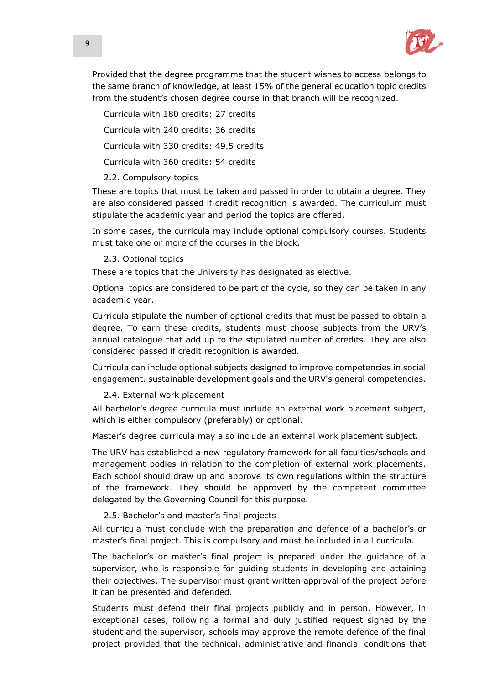

Provided that the degree programme that the student wishes to access belongs to the same branch of knowledge, at least 15% of the general education topic credits from the student's chosen degree course in that branch will be recognized.

Curricula with 180 credits: 27 credits Curricula with 240 credits: 36 credits Curricula with 330 credits: 49.5 credits

Curricula with 360 credits: 54 credits

# 2.2. Compulsory topics

These are topics that must be taken and passed in order to obtain a degree. They are also considered passed if credit recognition is awarded. The curriculum must stipulate the academic year and period the topics are offered.

In some cases, the curricula may include optional compulsory courses. Students must take one or more of the courses in the block.

## 2.3. Optional topics

These are topics that the University has designated as elective.

Optional topics are considered to be part of the cycle, so they can be taken in any academic year.

Curricula stipulate the number of optional credits that must be passed to obtain a degree. To earn these credits, students must choose subjects from the URV's annual catalogue that add up to the stipulated number of credits. They are also considered passed if credit recognition is awarded.

Curricula can include optional subjects designed to improve competencies in social engagement. sustainable development goals and the URV's general competencies.

2.4. External work placement

All bachelor's degree curricula must include an external work placement subject, which is either compulsory (preferably) or optional.

Master's degree curricula may also include an external work placement subject.

The URV has established a new regulatory framework for all faculties/schools and management bodies in relation to the completion of external work placements. Each school should draw up and approve its own regulations within the structure of the framework. They should be approved by the competent committee delegated by the Governing Council for this purpose.

# 2.5. Bachelor's and master's final projects

All curricula must conclude with the preparation and defence of a bachelor's or master's final project. This is compulsory and must be included in all curricula.

The bachelor's or master's final project is prepared under the guidance of a supervisor, who is responsible for guiding students in developing and attaining their objectives. The supervisor must grant written approval of the project before it can be presented and defended.

Students must defend their final projects publicly and in person. However, in exceptional cases, following a formal and duly justified request signed by the student and the supervisor, schools may approve the remote defence of the final project provided that the technical, administrative and financial conditions that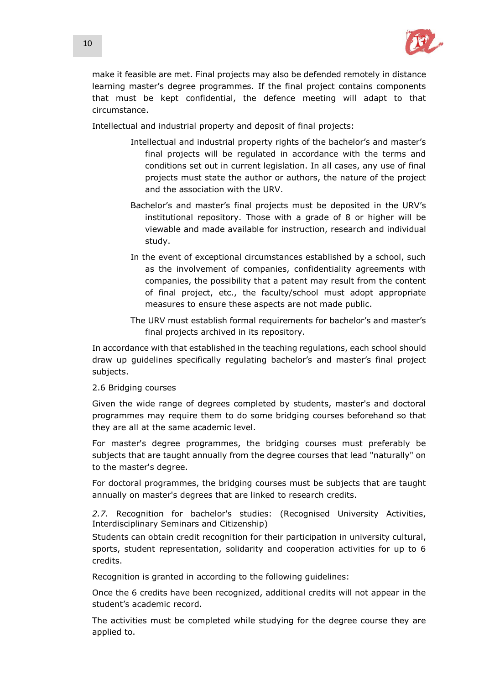

make it feasible are met. Final projects may also be defended remotely in distance learning master's degree programmes. If the final project contains components that must be kept confidential, the defence meeting will adapt to that circumstance.

Intellectual and industrial property and deposit of final projects:

- Intellectual and industrial property rights of the bachelor's and master's final projects will be regulated in accordance with the terms and conditions set out in current legislation. In all cases, any use of final projects must state the author or authors, the nature of the project and the association with the URV.
- Bachelor's and master's final projects must be deposited in the URV's institutional repository. Those with a grade of 8 or higher will be viewable and made available for instruction, research and individual study.
- In the event of exceptional circumstances established by a school, such as the involvement of companies, confidentiality agreements with companies, the possibility that a patent may result from the content of final project, etc., the faculty/school must adopt appropriate measures to ensure these aspects are not made public.
- The URV must establish formal requirements for bachelor's and master's final projects archived in its repository.

In accordance with that established in the teaching regulations, each school should draw up guidelines specifically regulating bachelor's and master's final project subjects.

## 2.6 Bridging courses

Given the wide range of degrees completed by students, master's and doctoral programmes may require them to do some bridging courses beforehand so that they are all at the same academic level.

For master's degree programmes, the bridging courses must preferably be subjects that are taught annually from the degree courses that lead "naturally" on to the master's degree.

For doctoral programmes, the bridging courses must be subjects that are taught annually on master's degrees that are linked to research credits.

*2.7.* Recognition for bachelor's studies: (Recognised University Activities, Interdisciplinary Seminars and Citizenship)

Students can obtain credit recognition for their participation in university cultural, sports, student representation, solidarity and cooperation activities for up to 6 credits.

Recognition is granted in according to the following guidelines:

Once the 6 credits have been recognized, additional credits will not appear in the student's academic record.

The activities must be completed while studying for the degree course they are applied to.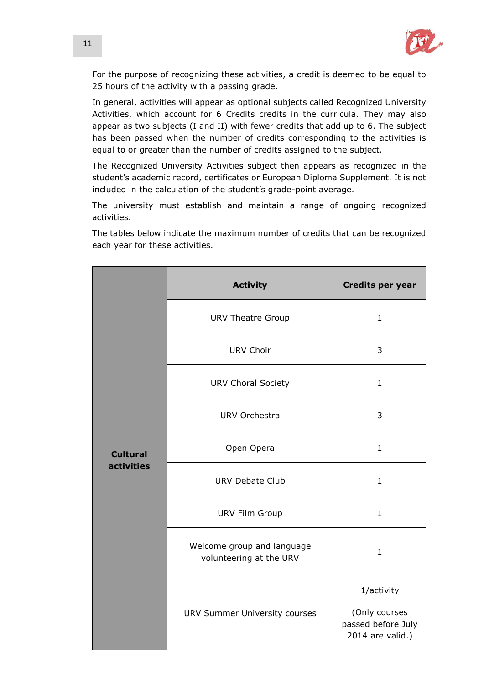

For the purpose of recognizing these activities, a credit is deemed to be equal to 25 hours of the activity with a passing grade.

In general, activities will appear as optional subjects called Recognized University Activities, which account for 6 Credits credits in the curricula. They may also appear as two subjects (I and II) with fewer credits that add up to 6. The subject has been passed when the number of credits corresponding to the activities is equal to or greater than the number of credits assigned to the subject.

The Recognized University Activities subject then appears as recognized in the student's academic record, certificates or European Diploma Supplement. It is not included in the calculation of the student's grade-point average.

The university must establish and maintain a range of ongoing recognized activities.

The tables below indicate the maximum number of credits that can be recognized each year for these activities.

|                               | <b>Activity</b>                                       | <b>Credits per year</b>                                 |
|-------------------------------|-------------------------------------------------------|---------------------------------------------------------|
|                               | <b>URV Theatre Group</b>                              | $\mathbf{1}$                                            |
|                               | <b>URV Choir</b>                                      | 3                                                       |
|                               | <b>URV Choral Society</b>                             | $\mathbf{1}$                                            |
| <b>Cultural</b><br>activities | <b>URV Orchestra</b>                                  | 3                                                       |
|                               | Open Opera                                            | $\mathbf{1}$                                            |
|                               | <b>URV Debate Club</b>                                | $\mathbf{1}$                                            |
|                               | <b>URV Film Group</b>                                 | $\mathbf{1}$                                            |
|                               | Welcome group and language<br>volunteering at the URV | $\mathbf{1}$                                            |
|                               |                                                       | 1/activity                                              |
|                               | URV Summer University courses                         | (Only courses<br>passed before July<br>2014 are valid.) |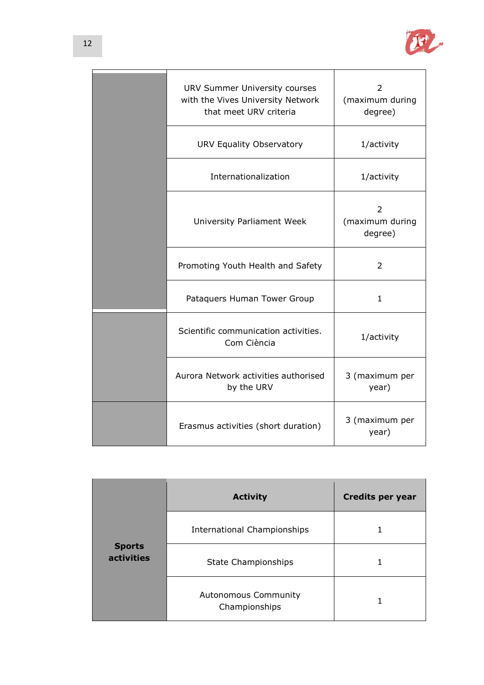

| URV Summer University courses<br>with the Vives University Network<br>that meet URV criteria | 2<br>(maximum during<br>degree) |
|----------------------------------------------------------------------------------------------|---------------------------------|
| URV Equality Observatory                                                                     | 1/activity                      |
| Internationalization                                                                         | 1/activity                      |
| University Parliament Week                                                                   | 2<br>(maximum during<br>degree) |
| Promoting Youth Health and Safety                                                            | 2                               |
| Pataquers Human Tower Group                                                                  | $\mathbf{1}$                    |
| Scientific communication activities.<br>Com Ciència                                          | 1/activity                      |
| Aurora Network activities authorised<br>by the URV                                           | 3 (maximum per<br>year)         |
| Erasmus activities (short duration)                                                          | 3 (maximum per<br>year)         |

|                                    | <b>Activity</b>                              | <b>Credits per year</b> |
|------------------------------------|----------------------------------------------|-------------------------|
| <b>Sports</b><br><b>activities</b> | International Championships                  |                         |
|                                    | <b>State Championships</b>                   |                         |
|                                    | <b>Autonomous Community</b><br>Championships |                         |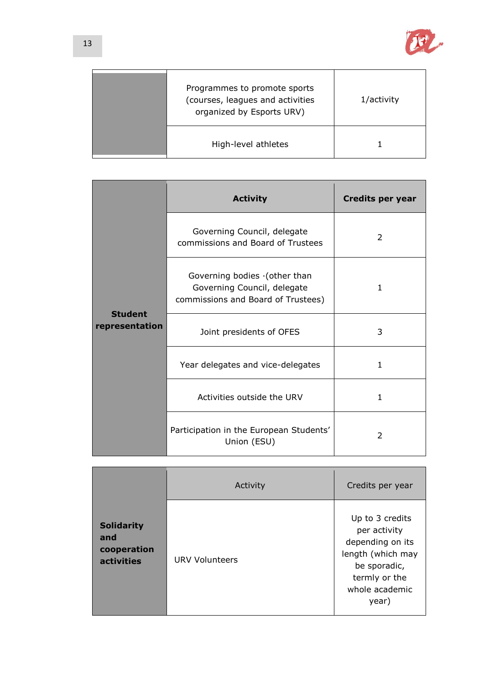

| Programmes to promote sports<br>(courses, leagues and activities<br>organized by Esports URV) | 1/activity |
|-----------------------------------------------------------------------------------------------|------------|
| High-level athletes                                                                           |            |

|                                  | <b>Activity</b>                                                                                   | <b>Credits per year</b> |
|----------------------------------|---------------------------------------------------------------------------------------------------|-------------------------|
| <b>Student</b><br>representation | Governing Council, delegate<br>commissions and Board of Trustees                                  | 2                       |
|                                  | Governing bodies (other than<br>Governing Council, delegate<br>commissions and Board of Trustees) | $\mathbf{1}$            |
|                                  | Joint presidents of OFES                                                                          | 3                       |
|                                  | Year delegates and vice-delegates                                                                 | 1                       |
|                                  | Activities outside the URV                                                                        | 1                       |
|                                  | Participation in the European Students'<br>Union (ESU)                                            | 2                       |

|                                                              | Activity              | Credits per year                                                                                                                     |
|--------------------------------------------------------------|-----------------------|--------------------------------------------------------------------------------------------------------------------------------------|
| <b>Solidarity</b><br>and<br>cooperation<br><b>activities</b> | <b>URV Volunteers</b> | Up to 3 credits<br>per activity<br>depending on its<br>length (which may<br>be sporadic,<br>termly or the<br>whole academic<br>year) |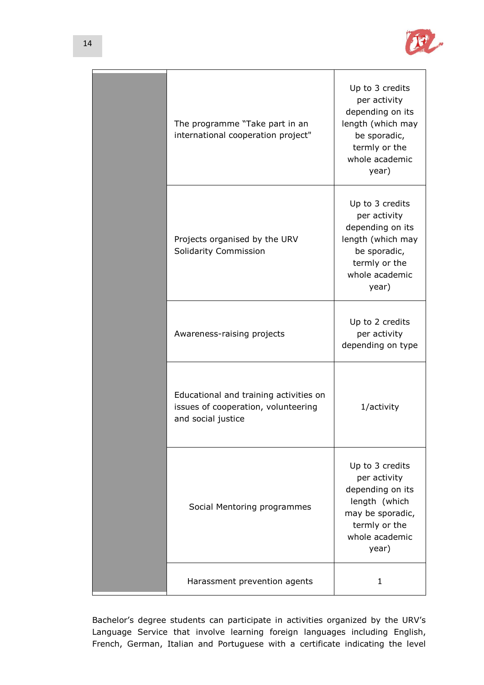

| The programme "Take part in an<br>international cooperation project"                                | Up to 3 credits<br>per activity<br>depending on its<br>length (which may<br>be sporadic,<br>termly or the<br>whole academic<br>year) |
|-----------------------------------------------------------------------------------------------------|--------------------------------------------------------------------------------------------------------------------------------------|
| Projects organised by the URV<br>Solidarity Commission                                              | Up to 3 credits<br>per activity<br>depending on its<br>length (which may<br>be sporadic,<br>termly or the<br>whole academic<br>year) |
| Awareness-raising projects                                                                          | Up to 2 credits<br>per activity<br>depending on type                                                                                 |
| Educational and training activities on<br>issues of cooperation, volunteering<br>and social justice | 1/activity                                                                                                                           |
| Social Mentoring programmes                                                                         | Up to 3 credits<br>per activity<br>depending on its<br>length (which<br>may be sporadic,<br>termly or the<br>whole academic<br>year) |
| Harassment prevention agents                                                                        | 1                                                                                                                                    |

Bachelor's degree students can participate in activities organized by the URV's Language Service that involve learning foreign languages including English, French, German, Italian and Portuguese with a certificate indicating the level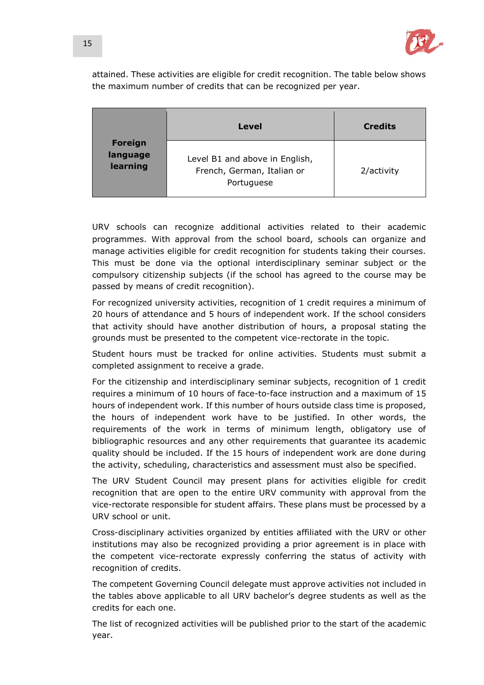

attained. These activities are eligible for credit recognition. The table below shows the maximum number of credits that can be recognized per year.

|                                        | Level                                                                      | <b>Credits</b> |
|----------------------------------------|----------------------------------------------------------------------------|----------------|
| <b>Foreign</b><br>language<br>learning | Level B1 and above in English,<br>French, German, Italian or<br>Portuguese | 2/activity     |

URV schools can recognize additional activities related to their academic programmes. With approval from the school board, schools can organize and manage activities eligible for credit recognition for students taking their courses. This must be done via the optional interdisciplinary seminar subject or the compulsory citizenship subjects (if the school has agreed to the course may be passed by means of credit recognition).

For recognized university activities, recognition of 1 credit requires a minimum of 20 hours of attendance and 5 hours of independent work. If the school considers that activity should have another distribution of hours, a proposal stating the grounds must be presented to the competent vice-rectorate in the topic.

Student hours must be tracked for online activities. Students must submit a completed assignment to receive a grade.

For the citizenship and interdisciplinary seminar subjects, recognition of 1 credit requires a minimum of 10 hours of face-to-face instruction and a maximum of 15 hours of independent work. If this number of hours outside class time is proposed, the hours of independent work have to be justified. In other words, the requirements of the work in terms of minimum length, obligatory use of bibliographic resources and any other requirements that guarantee its academic quality should be included. If the 15 hours of independent work are done during the activity, scheduling, characteristics and assessment must also be specified.

The URV Student Council may present plans for activities eligible for credit recognition that are open to the entire URV community with approval from the vice-rectorate responsible for student affairs. These plans must be processed by a URV school or unit.

Cross-disciplinary activities organized by entities affiliated with the URV or other institutions may also be recognized providing a prior agreement is in place with the competent vice-rectorate expressly conferring the status of activity with recognition of credits.

The competent Governing Council delegate must approve activities not included in the tables above applicable to all URV bachelor's degree students as well as the credits for each one.

The list of recognized activities will be published prior to the start of the academic year.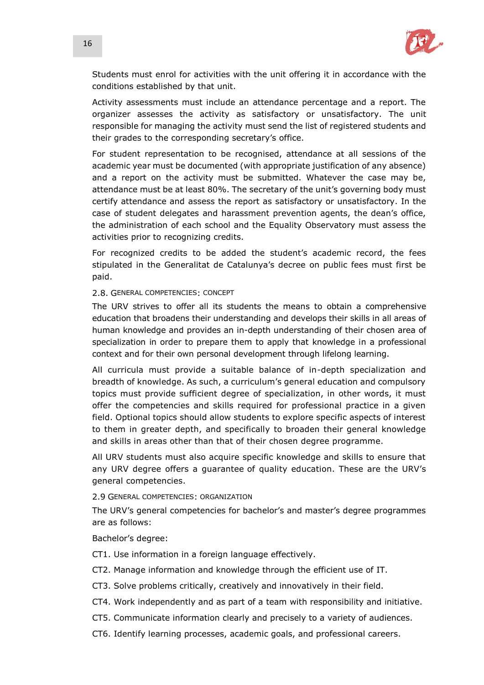

Students must enrol for activities with the unit offering it in accordance with the conditions established by that unit.

Activity assessments must include an attendance percentage and a report. The organizer assesses the activity as satisfactory or unsatisfactory. The unit responsible for managing the activity must send the list of registered students and their grades to the corresponding secretary's office.

For student representation to be recognised, attendance at all sessions of the academic year must be documented (with appropriate justification of any absence) and a report on the activity must be submitted. Whatever the case may be, attendance must be at least 80%. The secretary of the unit's governing body must certify attendance and assess the report as satisfactory or unsatisfactory. In the case of student delegates and harassment prevention agents, the dean's office, the administration of each school and the Equality Observatory must assess the activities prior to recognizing credits.

For recognized credits to be added the student's academic record, the fees stipulated in the Generalitat de Catalunya's decree on public fees must first be paid.

### 2.8. GENERAL COMPETENCIES: CONCEPT

The URV strives to offer all its students the means to obtain a comprehensive education that broadens their understanding and develops their skills in all areas of human knowledge and provides an in-depth understanding of their chosen area of specialization in order to prepare them to apply that knowledge in a professional context and for their own personal development through lifelong learning.

All curricula must provide a suitable balance of in-depth specialization and breadth of knowledge. As such, a curriculum's general education and compulsory topics must provide sufficient degree of specialization, in other words, it must offer the competencies and skills required for professional practice in a given field. Optional topics should allow students to explore specific aspects of interest to them in greater depth, and specifically to broaden their general knowledge and skills in areas other than that of their chosen degree programme.

All URV students must also acquire specific knowledge and skills to ensure that any URV degree offers a guarantee of quality education. These are the URV's general competencies.

### 2.9 GENERAL COMPETENCIES: ORGANIZATION

The URV's general competencies for bachelor's and master's degree programmes are as follows:

Bachelor's degree:

CT1. Use information in a foreign language effectively.

- CT2. Manage information and knowledge through the efficient use of IT.
- CT3. Solve problems critically, creatively and innovatively in their field.
- CT4. Work independently and as part of a team with responsibility and initiative.
- CT5. Communicate information clearly and precisely to a variety of audiences.
- CT6. Identify learning processes, academic goals, and professional careers.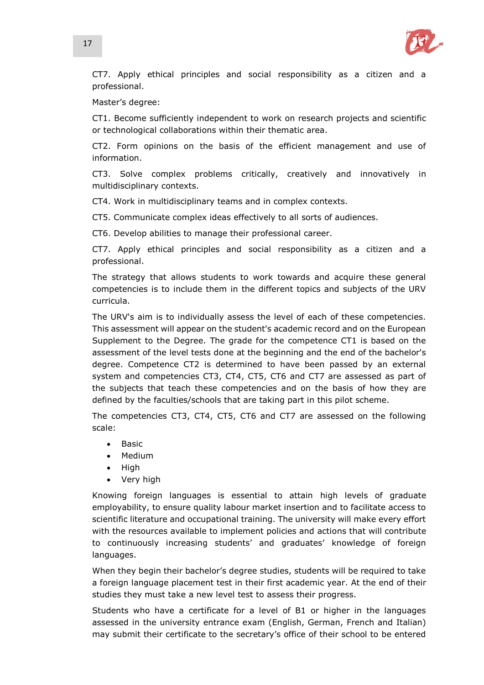

CT7. Apply ethical principles and social responsibility as a citizen and a professional.

Master's degree:

CT1. Become sufficiently independent to work on research projects and scientific or technological collaborations within their thematic area.

CT2. Form opinions on the basis of the efficient management and use of information.

CT3. Solve complex problems critically, creatively and innovatively in multidisciplinary contexts.

CT4. Work in multidisciplinary teams and in complex contexts.

CT5. Communicate complex ideas effectively to all sorts of audiences.

CT6. Develop abilities to manage their professional career.

CT7. Apply ethical principles and social responsibility as a citizen and a professional.

The strategy that allows students to work towards and acquire these general competencies is to include them in the different topics and subjects of the URV curricula.

The URV's aim is to individually assess the level of each of these competencies. This assessment will appear on the student's academic record and on the European Supplement to the Degree. The grade for the competence CT1 is based on the assessment of the level tests done at the beginning and the end of the bachelor's degree. Competence CT2 is determined to have been passed by an external system and competencies CT3, CT4, CT5, CT6 and CT7 are assessed as part of the subjects that teach these competencies and on the basis of how they are defined by the faculties/schools that are taking part in this pilot scheme.

The competencies CT3, CT4, CT5, CT6 and CT7 are assessed on the following scale:

- $-Basic$
- Medium
- High
- Very high

Knowing foreign languages is essential to attain high levels of graduate employability, to ensure quality labour market insertion and to facilitate access to scientific literature and occupational training. The university will make every effort with the resources available to implement policies and actions that will contribute to continuously increasing students' and graduates' knowledge of foreign languages.

When they begin their bachelor's degree studies, students will be required to take a foreign language placement test in their first academic year. At the end of their studies they must take a new level test to assess their progress.

Students who have a certificate for a level of B1 or higher in the languages assessed in the university entrance exam (English, German, French and Italian) may submit their certificate to the secretary's office of their school to be entered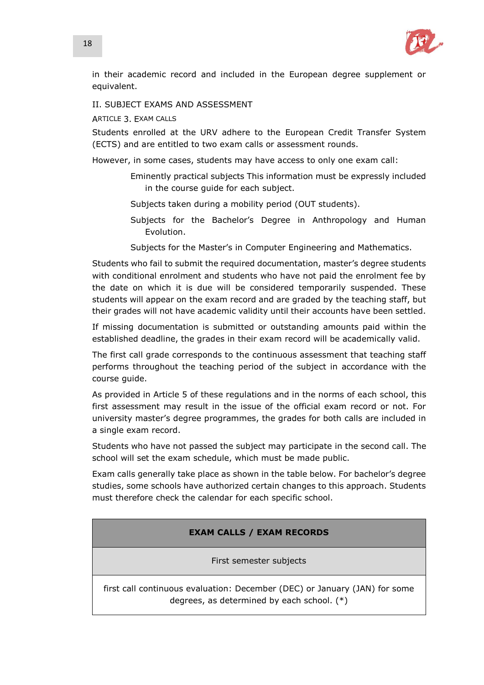

in their academic record and included in the European degree supplement or equivalent.

II. SUBJECT EXAMS AND ASSESSMENT

ARTICLE 3. EXAM CALLS

Students enrolled at the URV adhere to the European Credit Transfer System (ECTS) and are entitled to two exam calls or assessment rounds.

However, in some cases, students may have access to only one exam call:

- Eminently practical subjects This information must be expressly included in the course guide for each subject.
- Subjects taken during a mobility period (OUT students).
- Subjects for the Bachelor's Degree in Anthropology and Human Evolution.
- Subjects for the Master's in Computer Engineering and Mathematics.

Students who fail to submit the required documentation, master's degree students with conditional enrolment and students who have not paid the enrolment fee by the date on which it is due will be considered temporarily suspended. These students will appear on the exam record and are graded by the teaching staff, but their grades will not have academic validity until their accounts have been settled.

If missing documentation is submitted or outstanding amounts paid within the established deadline, the grades in their exam record will be academically valid.

The first call grade corresponds to the continuous assessment that teaching staff performs throughout the teaching period of the subject in accordance with the course guide.

As provided in Article 5 of these regulations and in the norms of each school, this first assessment may result in the issue of the official exam record or not. For university master's degree programmes, the grades for both calls are included in a single exam record.

Students who have not passed the subject may participate in the second call. The school will set the exam schedule, which must be made public.

Exam calls generally take place as shown in the table below. For bachelor's degree studies, some schools have authorized certain changes to this approach. Students must therefore check the calendar for each specific school.

# **EXAM CALLS / EXAM RECORDS**

First semester subjects

first call continuous evaluation: December (DEC) or January (JAN) for some degrees, as determined by each school. (\*)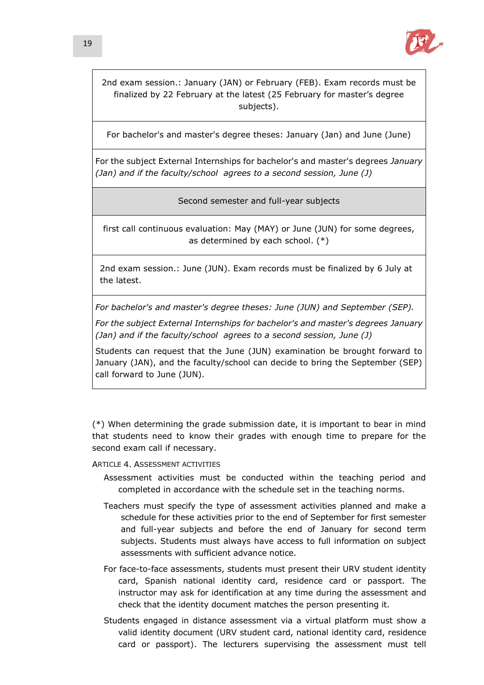

2nd exam session.: January (JAN) or February (FEB). Exam records must be finalized by 22 February at the latest (25 February for master's degree subjects).

For bachelor's and master's degree theses: January (Jan) and June (June)

For the subject External Internships for bachelor's and master's degrees *January (Jan) and if the faculty/school agrees to a second session, June (J)* 

Second semester and full-year subjects

first call continuous evaluation: May (MAY) or June (JUN) for some degrees, as determined by each school. (\*)

2nd exam session.: June (JUN). Exam records must be finalized by 6 July at the latest.

*For bachelor's and master's degree theses: June (JUN) and September (SEP).*

*For the subject External Internships for bachelor's and master's degrees January (Jan) and if the faculty/school agrees to a second session, June (J)* 

Students can request that the June (JUN) examination be brought forward to January (JAN), and the faculty/school can decide to bring the September (SEP) call forward to June (JUN).

(\*) When determining the grade submission date, it is important to bear in mind that students need to know their grades with enough time to prepare for the second exam call if necessary.

## ARTICLE 4 ASSESSMENT ACTIVITIES

- Assessment activities must be conducted within the teaching period and completed in accordance with the schedule set in the teaching norms.
- Teachers must specify the type of assessment activities planned and make a schedule for these activities prior to the end of September for first semester and full-year subjects and before the end of January for second term subjects. Students must always have access to full information on subject assessments with sufficient advance notice.
- For face-to-face assessments, students must present their URV student identity card, Spanish national identity card, residence card or passport. The instructor may ask for identification at any time during the assessment and check that the identity document matches the person presenting it.
- Students engaged in distance assessment via a virtual platform must show a valid identity document (URV student card, national identity card, residence card or passport). The lecturers supervising the assessment must tell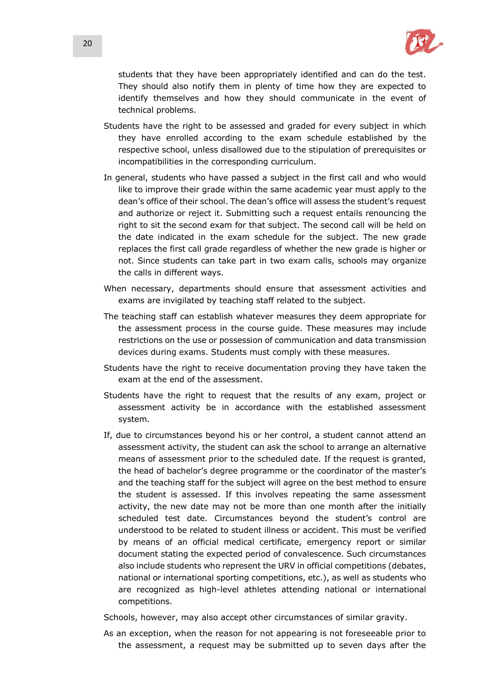

students that they have been appropriately identified and can do the test. They should also notify them in plenty of time how they are expected to identify themselves and how they should communicate in the event of technical problems.

- Students have the right to be assessed and graded for every subject in which they have enrolled according to the exam schedule established by the respective school, unless disallowed due to the stipulation of prerequisites or incompatibilities in the corresponding curriculum.
- In general, students who have passed a subject in the first call and who would like to improve their grade within the same academic year must apply to the dean's office of their school. The dean's office will assess the student's request and authorize or reject it. Submitting such a request entails renouncing the right to sit the second exam for that subject. The second call will be held on the date indicated in the exam schedule for the subject. The new grade replaces the first call grade regardless of whether the new grade is higher or not. Since students can take part in two exam calls, schools may organize the calls in different ways.
- When necessary, departments should ensure that assessment activities and exams are invigilated by teaching staff related to the subject.
- The teaching staff can establish whatever measures they deem appropriate for the assessment process in the course guide. These measures may include restrictions on the use or possession of communication and data transmission devices during exams. Students must comply with these measures.
- Students have the right to receive documentation proving they have taken the exam at the end of the assessment.
- Students have the right to request that the results of any exam, project or assessment activity be in accordance with the established assessment system.
- If, due to circumstances beyond his or her control, a student cannot attend an assessment activity, the student can ask the school to arrange an alternative means of assessment prior to the scheduled date. If the request is granted, the head of bachelor's degree programme or the coordinator of the master's and the teaching staff for the subject will agree on the best method to ensure the student is assessed. If this involves repeating the same assessment activity, the new date may not be more than one month after the initially scheduled test date. Circumstances beyond the student's control are understood to be related to student illness or accident. This must be verified by means of an official medical certificate, emergency report or similar document stating the expected period of convalescence. Such circumstances also include students who represent the URV in official competitions (debates, national or international sporting competitions, etc.), as well as students who are recognized as high-level athletes attending national or international competitions.

Schools, however, may also accept other circumstances of similar gravity.

As an exception, when the reason for not appearing is not foreseeable prior to the assessment, a request may be submitted up to seven days after the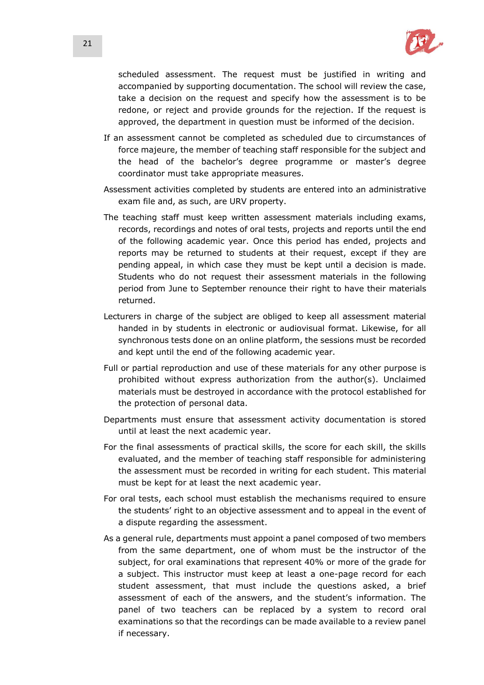

scheduled assessment. The request must be justified in writing and accompanied by supporting documentation. The school will review the case, take a decision on the request and specify how the assessment is to be redone, or reject and provide grounds for the rejection. If the request is approved, the department in question must be informed of the decision.

- If an assessment cannot be completed as scheduled due to circumstances of force majeure, the member of teaching staff responsible for the subject and the head of the bachelor's degree programme or master's degree coordinator must take appropriate measures.
- Assessment activities completed by students are entered into an administrative exam file and, as such, are URV property.
- The teaching staff must keep written assessment materials including exams, records, recordings and notes of oral tests, projects and reports until the end of the following academic year. Once this period has ended, projects and reports may be returned to students at their request, except if they are pending appeal, in which case they must be kept until a decision is made. Students who do not request their assessment materials in the following period from June to September renounce their right to have their materials returned.
- Lecturers in charge of the subject are obliged to keep all assessment material handed in by students in electronic or audiovisual format. Likewise, for all synchronous tests done on an online platform, the sessions must be recorded and kept until the end of the following academic year.
- Full or partial reproduction and use of these materials for any other purpose is prohibited without express authorization from the author(s). Unclaimed materials must be destroyed in accordance with the protocol established for the protection of personal data.
- Departments must ensure that assessment activity documentation is stored until at least the next academic year.
- For the final assessments of practical skills, the score for each skill, the skills evaluated, and the member of teaching staff responsible for administering the assessment must be recorded in writing for each student. This material must be kept for at least the next academic year.
- For oral tests, each school must establish the mechanisms required to ensure the students' right to an objective assessment and to appeal in the event of a dispute regarding the assessment.
- As a general rule, departments must appoint a panel composed of two members from the same department, one of whom must be the instructor of the subject, for oral examinations that represent 40% or more of the grade for a subject. This instructor must keep at least a one-page record for each student assessment, that must include the questions asked, a brief assessment of each of the answers, and the student's information. The panel of two teachers can be replaced by a system to record oral examinations so that the recordings can be made available to a review panel if necessary.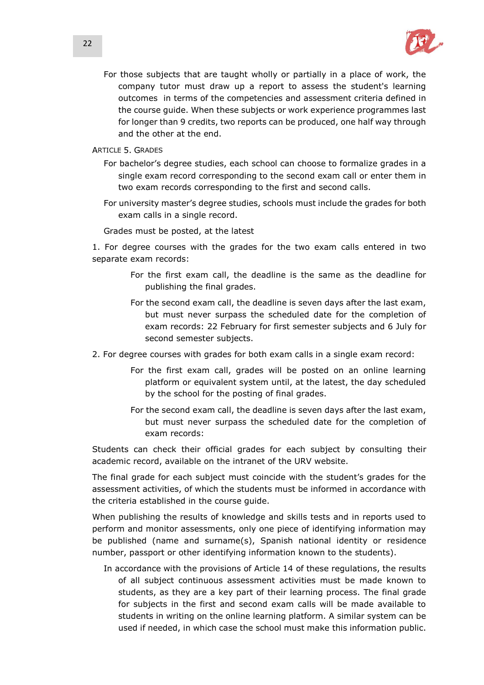

For those subjects that are taught wholly or partially in a place of work, the company tutor must draw up a report to assess the student's learning outcomes in terms of the competencies and assessment criteria defined in the course guide. When these subjects or work experience programmes last for longer than 9 credits, two reports can be produced, one half way through and the other at the end.

ARTICLE 5. GRADES

- For bachelor's degree studies, each school can choose to formalize grades in a single exam record corresponding to the second exam call or enter them in two exam records corresponding to the first and second calls.
- For university master's degree studies, schools must include the grades for both exam calls in a single record.

Grades must be posted, at the latest

1. For degree courses with the grades for the two exam calls entered in two separate exam records:

- For the first exam call, the deadline is the same as the deadline for publishing the final grades.
- For the second exam call, the deadline is seven days after the last exam, but must never surpass the scheduled date for the completion of exam records: 22 February for first semester subjects and 6 July for second semester subjects.
- 2. For degree courses with grades for both exam calls in a single exam record:
	- For the first exam call, grades will be posted on an online learning platform or equivalent system until, at the latest, the day scheduled by the school for the posting of final grades.
	- For the second exam call, the deadline is seven days after the last exam, but must never surpass the scheduled date for the completion of exam records:

Students can check their official grades for each subject by consulting their academic record, available on the intranet of the URV website.

The final grade for each subject must coincide with the student's grades for the assessment activities, of which the students must be informed in accordance with the criteria established in the course guide.

When publishing the results of knowledge and skills tests and in reports used to perform and monitor assessments, only one piece of identifying information may be published (name and surname(s), Spanish national identity or residence number, passport or other identifying information known to the students).

In accordance with the provisions of Article 14 of these regulations, the results of all subject continuous assessment activities must be made known to students, as they are a key part of their learning process. The final grade for subjects in the first and second exam calls will be made available to students in writing on the online learning platform. A similar system can be used if needed, in which case the school must make this information public.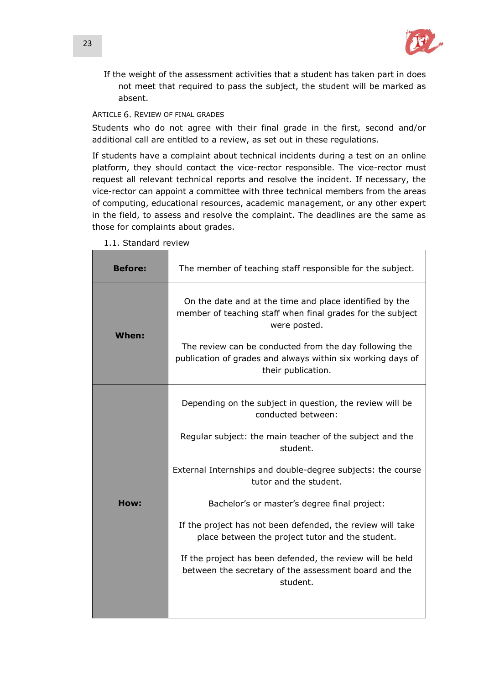

If the weight of the assessment activities that a student has taken part in does not meet that required to pass the subject, the student will be marked as absent.

# ARTICLE 6. REVIEW OF FINAL GRADES

Students who do not agree with their final grade in the first, second and/or additional call are entitled to a review, as set out in these regulations.

If students have a complaint about technical incidents during a test on an online platform, they should contact the vice-rector responsible. The vice-rector must request all relevant technical reports and resolve the incident. If necessary, the vice-rector can appoint a committee with three technical members from the areas of computing, educational resources, academic management, or any other expert in the field, to assess and resolve the complaint. The deadlines are the same as those for complaints about grades.

| <b>Before:</b> | The member of teaching staff responsible for the subject.                                                                                                                                                                                                                                                                                                                                                                                                                                                                                           |
|----------------|-----------------------------------------------------------------------------------------------------------------------------------------------------------------------------------------------------------------------------------------------------------------------------------------------------------------------------------------------------------------------------------------------------------------------------------------------------------------------------------------------------------------------------------------------------|
| When:          | On the date and at the time and place identified by the<br>member of teaching staff when final grades for the subject<br>were posted.<br>The review can be conducted from the day following the<br>publication of grades and always within six working days of<br>their publication.                                                                                                                                                                                                                                                                |
| How:           | Depending on the subject in question, the review will be<br>conducted between:<br>Regular subject: the main teacher of the subject and the<br>student.<br>External Internships and double-degree subjects: the course<br>tutor and the student.<br>Bachelor's or master's degree final project:<br>If the project has not been defended, the review will take<br>place between the project tutor and the student.<br>If the project has been defended, the review will be held<br>between the secretary of the assessment board and the<br>student. |

1.1. Standard review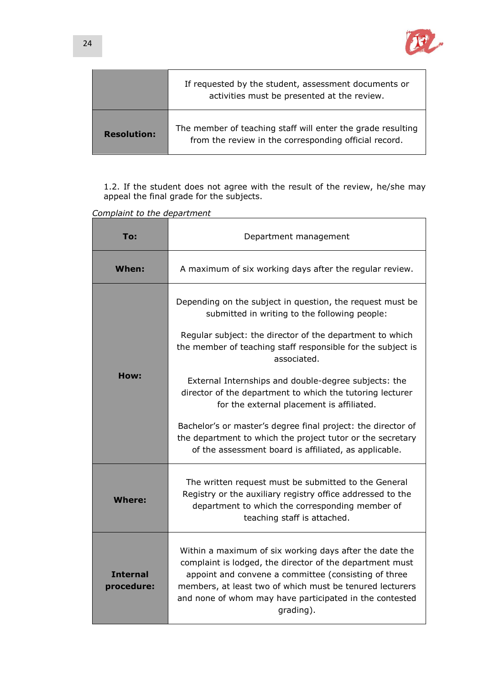

|                    | If requested by the student, assessment documents or<br>activities must be presented at the review.                  |
|--------------------|----------------------------------------------------------------------------------------------------------------------|
| <b>Resolution:</b> | The member of teaching staff will enter the grade resulting<br>from the review in the corresponding official record. |

1.2. If the student does not agree with the result of the review, he/she may appeal the final grade for the subjects.

*Complaint to the department*

| To:                           | Department management                                                                                                                                                                                                                                                                                                                                                                                                                                                                                                                                                                                         |  |
|-------------------------------|---------------------------------------------------------------------------------------------------------------------------------------------------------------------------------------------------------------------------------------------------------------------------------------------------------------------------------------------------------------------------------------------------------------------------------------------------------------------------------------------------------------------------------------------------------------------------------------------------------------|--|
| When:                         | A maximum of six working days after the regular review.                                                                                                                                                                                                                                                                                                                                                                                                                                                                                                                                                       |  |
| How:                          | Depending on the subject in question, the request must be<br>submitted in writing to the following people:<br>Regular subject: the director of the department to which<br>the member of teaching staff responsible for the subject is<br>associated.<br>External Internships and double-degree subjects: the<br>director of the department to which the tutoring lecturer<br>for the external placement is affiliated.<br>Bachelor's or master's degree final project: the director of<br>the department to which the project tutor or the secretary<br>of the assessment board is affiliated, as applicable. |  |
| <b>Where:</b>                 | The written request must be submitted to the General<br>Registry or the auxiliary registry office addressed to the<br>department to which the corresponding member of<br>teaching staff is attached.                                                                                                                                                                                                                                                                                                                                                                                                          |  |
| <b>Internal</b><br>procedure: | Within a maximum of six working days after the date the<br>complaint is lodged, the director of the department must<br>appoint and convene a committee (consisting of three<br>members, at least two of which must be tenured lecturers<br>and none of whom may have participated in the contested<br>grading).                                                                                                                                                                                                                                                                                               |  |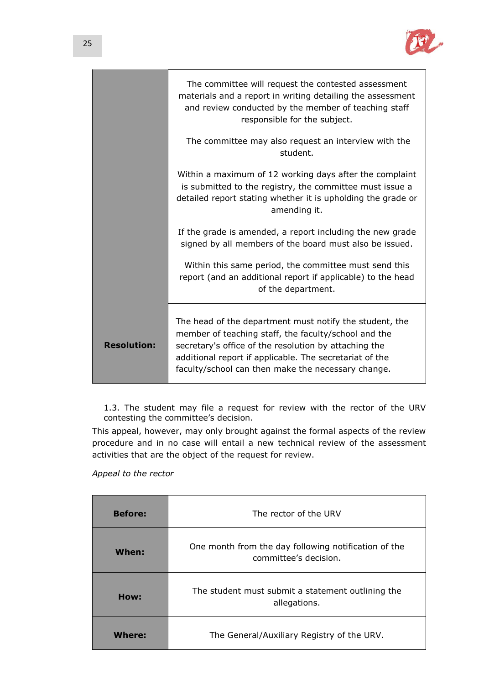

|                    | The committee will request the contested assessment<br>materials and a report in writing detailing the assessment<br>and review conducted by the member of teaching staff<br>responsible for the subject.                                                                                 |
|--------------------|-------------------------------------------------------------------------------------------------------------------------------------------------------------------------------------------------------------------------------------------------------------------------------------------|
|                    | The committee may also request an interview with the<br>student.                                                                                                                                                                                                                          |
|                    | Within a maximum of 12 working days after the complaint<br>is submitted to the registry, the committee must issue a<br>detailed report stating whether it is upholding the grade or<br>amending it.                                                                                       |
|                    | If the grade is amended, a report including the new grade<br>signed by all members of the board must also be issued.                                                                                                                                                                      |
|                    | Within this same period, the committee must send this<br>report (and an additional report if applicable) to the head<br>of the department.                                                                                                                                                |
| <b>Resolution:</b> | The head of the department must notify the student, the<br>member of teaching staff, the faculty/school and the<br>secretary's office of the resolution by attaching the<br>additional report if applicable. The secretariat of the<br>faculty/school can then make the necessary change. |

1.3. The student may file a request for review with the rector of the URV contesting the committee's decision.

This appeal, however, may only brought against the formal aspects of the review procedure and in no case will entail a new technical review of the assessment activities that are the object of the request for review.

*Appeal to the rector*

| <b>Before:</b> | The rector of the URV                                                         |  |
|----------------|-------------------------------------------------------------------------------|--|
| When:          | One month from the day following notification of the<br>committee's decision. |  |
| How:           | The student must submit a statement outlining the<br>allegations.             |  |
| Where:         | The General/Auxiliary Registry of the URV.                                    |  |

 $\overline{\phantom{a}}$ 

 $\sim$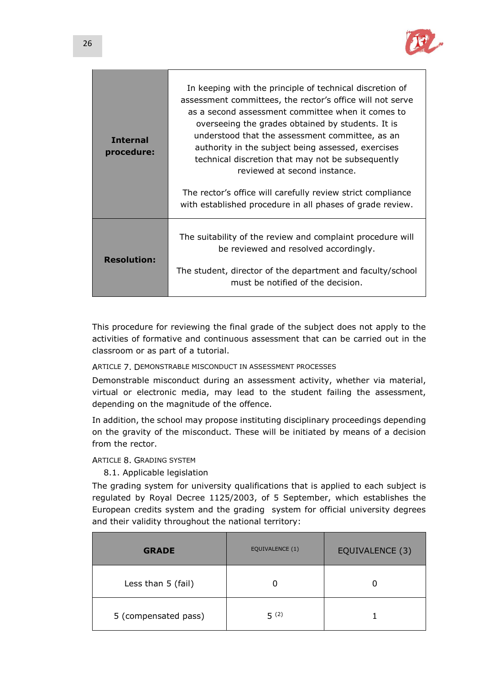

| <b>Internal</b><br>procedure: | In keeping with the principle of technical discretion of<br>assessment committees, the rector's office will not serve<br>as a second assessment committee when it comes to<br>overseeing the grades obtained by students. It is<br>understood that the assessment committee, as an<br>authority in the subject being assessed, exercises<br>technical discretion that may not be subsequently<br>reviewed at second instance. |  |
|-------------------------------|-------------------------------------------------------------------------------------------------------------------------------------------------------------------------------------------------------------------------------------------------------------------------------------------------------------------------------------------------------------------------------------------------------------------------------|--|
|                               | The rector's office will carefully review strict compliance<br>with established procedure in all phases of grade review.                                                                                                                                                                                                                                                                                                      |  |
| <b>Resolution:</b>            | The suitability of the review and complaint procedure will<br>be reviewed and resolved accordingly.                                                                                                                                                                                                                                                                                                                           |  |
|                               | The student, director of the department and faculty/school<br>must be notified of the decision.                                                                                                                                                                                                                                                                                                                               |  |

This procedure for reviewing the final grade of the subject does not apply to the activities of formative and continuous assessment that can be carried out in the classroom or as part of a tutorial.

ARTICLE 7. DEMONSTRABLE MISCONDUCT IN ASSESSMENT PROCESSES

Demonstrable misconduct during an assessment activity, whether via material, virtual or electronic media, may lead to the student failing the assessment, depending on the magnitude of the offence.

In addition, the school may propose instituting disciplinary proceedings depending on the gravity of the misconduct. These will be initiated by means of a decision from the rector.

ARTICLE 8. GRADING SYSTEM

8.1. Applicable legislation

The grading system for university qualifications that is applied to each subject is regulated by Royal Decree 1125/2003, of 5 September, which establishes the European credits system and the grading system for official university degrees and their validity throughout the national territory:

| <b>GRADE</b>         | EQUIVALENCE (1) | EQUIVALENCE (3) |
|----------------------|-----------------|-----------------|
| Less than 5 (fail)   |                 |                 |
| 5 (compensated pass) | 5(2)            |                 |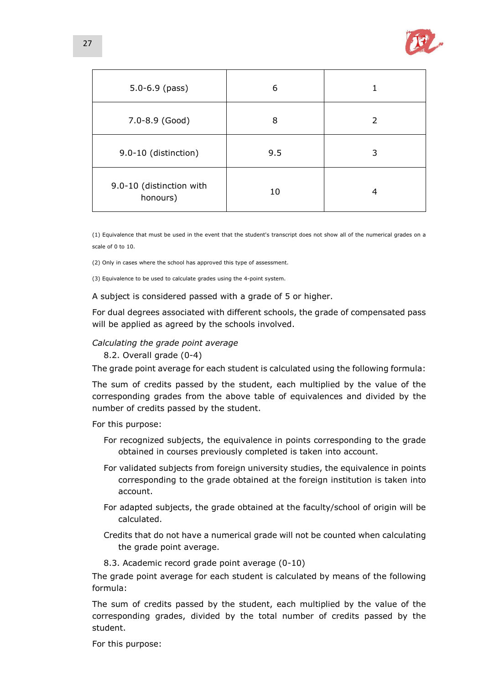

| $5.0 - 6.9$ (pass)                   | 6   |   |
|--------------------------------------|-----|---|
| 7.0-8.9 (Good)                       | 8   | 2 |
| 9.0-10 (distinction)                 | 9.5 | 3 |
| 9.0-10 (distinction with<br>honours) | 10  | 4 |

(1) Equivalence that must be used in the event that the student's transcript does not show all of the numerical grades on a scale of 0 to 10.

(2) Only in cases where the school has approved this type of assessment.

(3) Equivalence to be used to calculate grades using the 4-point system.

A subject is considered passed with a grade of 5 or higher.

For dual degrees associated with different schools, the grade of compensated pass will be applied as agreed by the schools involved.

## *Calculating the grade point average*

8.2. Overall grade (0-4)

The grade point average for each student is calculated using the following formula:

The sum of credits passed by the student, each multiplied by the value of the corresponding grades from the above table of equivalences and divided by the number of credits passed by the student.

For this purpose:

- For recognized subjects, the equivalence in points corresponding to the grade obtained in courses previously completed is taken into account.
- For validated subjects from foreign university studies, the equivalence in points corresponding to the grade obtained at the foreign institution is taken into account.
- For adapted subjects, the grade obtained at the faculty/school of origin will be calculated.
- Credits that do not have a numerical grade will not be counted when calculating the grade point average.
- 8.3. Academic record grade point average (0-10)

The grade point average for each student is calculated by means of the following formula:

The sum of credits passed by the student, each multiplied by the value of the corresponding grades, divided by the total number of credits passed by the student.

For this purpose: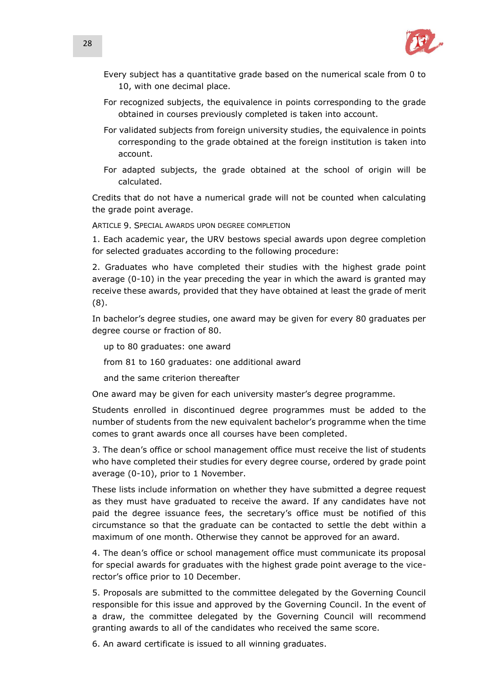

- Every subject has a quantitative grade based on the numerical scale from 0 to 10, with one decimal place.
- For recognized subjects, the equivalence in points corresponding to the grade obtained in courses previously completed is taken into account.
- For validated subjects from foreign university studies, the equivalence in points corresponding to the grade obtained at the foreign institution is taken into account.
- For adapted subjects, the grade obtained at the school of origin will be calculated.

Credits that do not have a numerical grade will not be counted when calculating the grade point average.

ARTICLE 9. SPECIAL AWARDS UPON DEGREE COMPLETION

1. Each academic year, the URV bestows special awards upon degree completion for selected graduates according to the following procedure:

2. Graduates who have completed their studies with the highest grade point average (0-10) in the year preceding the year in which the award is granted may receive these awards, provided that they have obtained at least the grade of merit (8).

In bachelor's degree studies, one award may be given for every 80 graduates per degree course or fraction of 80.

up to 80 graduates: one award

from 81 to 160 graduates: one additional award

and the same criterion thereafter

One award may be given for each university master's degree programme.

Students enrolled in discontinued degree programmes must be added to the number of students from the new equivalent bachelor's programme when the time comes to grant awards once all courses have been completed.

3. The dean's office or school management office must receive the list of students who have completed their studies for every degree course, ordered by grade point average (0-10), prior to 1 November.

These lists include information on whether they have submitted a degree request as they must have graduated to receive the award. If any candidates have not paid the degree issuance fees, the secretary's office must be notified of this circumstance so that the graduate can be contacted to settle the debt within a maximum of one month. Otherwise they cannot be approved for an award.

4. The dean's office or school management office must communicate its proposal for special awards for graduates with the highest grade point average to the vicerector's office prior to 10 December.

5. Proposals are submitted to the committee delegated by the Governing Council responsible for this issue and approved by the Governing Council. In the event of a draw, the committee delegated by the Governing Council will recommend granting awards to all of the candidates who received the same score.

6. An award certificate is issued to all winning graduates.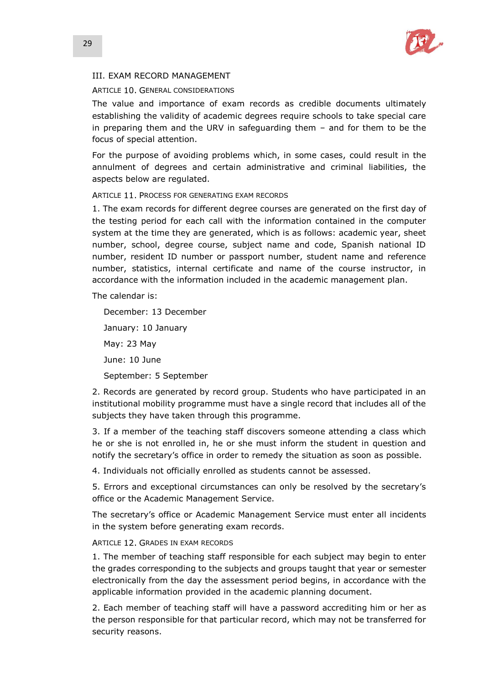

# III. EXAM RECORD MANAGEMENT

## ARTICLE 10. GENERAL CONSIDERATIONS

The value and importance of exam records as credible documents ultimately establishing the validity of academic degrees require schools to take special care in preparing them and the URV in safeguarding them – and for them to be the focus of special attention.

For the purpose of avoiding problems which, in some cases, could result in the annulment of degrees and certain administrative and criminal liabilities, the aspects below are regulated.

## ARTICLE 11. PROCESS FOR GENERATING EXAM RECORDS

1. The exam records for different degree courses are generated on the first day of the testing period for each call with the information contained in the computer system at the time they are generated, which is as follows: academic year, sheet number, school, degree course, subject name and code, Spanish national ID number, resident ID number or passport number, student name and reference number, statistics, internal certificate and name of the course instructor, in accordance with the information included in the academic management plan.

The calendar is:

December: 13 December January: 10 January May: 23 May June: 10 June September: 5 September

2. Records are generated by record group. Students who have participated in an institutional mobility programme must have a single record that includes all of the subjects they have taken through this programme.

3. If a member of the teaching staff discovers someone attending a class which he or she is not enrolled in, he or she must inform the student in question and notify the secretary's office in order to remedy the situation as soon as possible.

4. Individuals not officially enrolled as students cannot be assessed.

5. Errors and exceptional circumstances can only be resolved by the secretary's office or the Academic Management Service.

The secretary's office or Academic Management Service must enter all incidents in the system before generating exam records.

# ARTICLE 12. GRADES IN EXAM RECORDS

1. The member of teaching staff responsible for each subject may begin to enter the grades corresponding to the subjects and groups taught that year or semester electronically from the day the assessment period begins, in accordance with the applicable information provided in the academic planning document.

2. Each member of teaching staff will have a password accrediting him or her as the person responsible for that particular record, which may not be transferred for security reasons.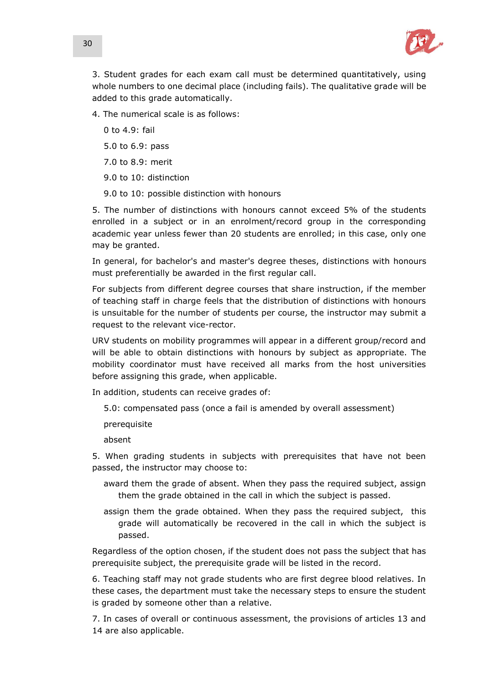

3. Student grades for each exam call must be determined quantitatively, using whole numbers to one decimal place (including fails). The qualitative grade will be added to this grade automatically.

4. The numerical scale is as follows:

0 to 4.9: fail

5.0 to 6.9: pass

7.0 to 8.9: merit

9.0 to 10: distinction

9.0 to 10: possible distinction with honours

5. The number of distinctions with honours cannot exceed 5% of the students enrolled in a subject or in an enrolment/record group in the corresponding academic year unless fewer than 20 students are enrolled; in this case, only one may be granted.

In general, for bachelor's and master's degree theses, distinctions with honours must preferentially be awarded in the first regular call.

For subjects from different degree courses that share instruction, if the member of teaching staff in charge feels that the distribution of distinctions with honours is unsuitable for the number of students per course, the instructor may submit a request to the relevant vice-rector.

URV students on mobility programmes will appear in a different group/record and will be able to obtain distinctions with honours by subject as appropriate. The mobility coordinator must have received all marks from the host universities before assigning this grade, when applicable.

In addition, students can receive grades of:

5.0: compensated pass (once a fail is amended by overall assessment)

prerequisite

absent

5. When grading students in subjects with prerequisites that have not been passed, the instructor may choose to:

- award them the grade of absent. When they pass the required subject, assign them the grade obtained in the call in which the subject is passed.
- assign them the grade obtained. When they pass the required subject, this grade will automatically be recovered in the call in which the subject is passed.

Regardless of the option chosen, if the student does not pass the subject that has prerequisite subject, the prerequisite grade will be listed in the record.

6. Teaching staff may not grade students who are first degree blood relatives. In these cases, the department must take the necessary steps to ensure the student is graded by someone other than a relative.

7. In cases of overall or continuous assessment, the provisions of articles 13 and 14 are also applicable.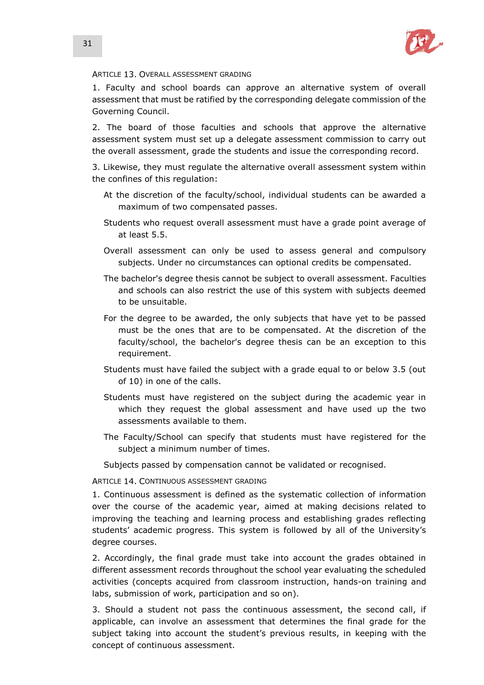

### ARTICLE 13. OVERALL ASSESSMENT GRADING

1. Faculty and school boards can approve an alternative system of overall assessment that must be ratified by the corresponding delegate commission of the Governing Council.

2. The board of those faculties and schools that approve the alternative assessment system must set up a delegate assessment commission to carry out the overall assessment, grade the students and issue the corresponding record.

3. Likewise, they must regulate the alternative overall assessment system within the confines of this regulation:

- At the discretion of the faculty/school, individual students can be awarded a maximum of two compensated passes.
- Students who request overall assessment must have a grade point average of at least 5.5.
- Overall assessment can only be used to assess general and compulsory subjects. Under no circumstances can optional credits be compensated.
- The bachelor's degree thesis cannot be subject to overall assessment. Faculties and schools can also restrict the use of this system with subjects deemed to be unsuitable.
- For the degree to be awarded, the only subjects that have yet to be passed must be the ones that are to be compensated. At the discretion of the faculty/school, the bachelor's degree thesis can be an exception to this requirement.
- Students must have failed the subject with a grade equal to or below 3.5 (out of 10) in one of the calls.
- Students must have registered on the subject during the academic year in which they request the global assessment and have used up the two assessments available to them.
- The Faculty/School can specify that students must have registered for the subject a minimum number of times.

Subjects passed by compensation cannot be validated or recognised.

ARTICLE 14. CONTINUOUS ASSESSMENT GRADING

1. Continuous assessment is defined as the systematic collection of information over the course of the academic year, aimed at making decisions related to improving the teaching and learning process and establishing grades reflecting students' academic progress. This system is followed by all of the University's degree courses.

2. Accordingly, the final grade must take into account the grades obtained in different assessment records throughout the school year evaluating the scheduled activities (concepts acquired from classroom instruction, hands-on training and labs, submission of work, participation and so on).

3. Should a student not pass the continuous assessment, the second call, if applicable, can involve an assessment that determines the final grade for the subject taking into account the student's previous results, in keeping with the concept of continuous assessment.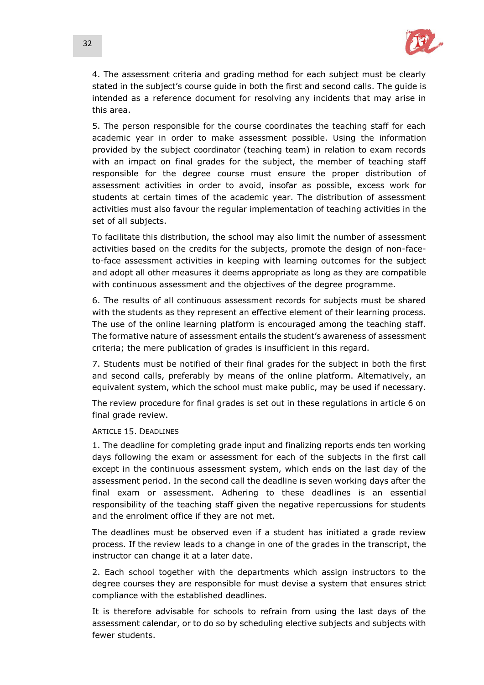

4. The assessment criteria and grading method for each subject must be clearly stated in the subject's course guide in both the first and second calls. The guide is intended as a reference document for resolving any incidents that may arise in this area.

5. The person responsible for the course coordinates the teaching staff for each academic year in order to make assessment possible. Using the information provided by the subject coordinator (teaching team) in relation to exam records with an impact on final grades for the subject, the member of teaching staff responsible for the degree course must ensure the proper distribution of assessment activities in order to avoid, insofar as possible, excess work for students at certain times of the academic year. The distribution of assessment activities must also favour the regular implementation of teaching activities in the set of all subjects.

To facilitate this distribution, the school may also limit the number of assessment activities based on the credits for the subjects, promote the design of non-faceto-face assessment activities in keeping with learning outcomes for the subject and adopt all other measures it deems appropriate as long as they are compatible with continuous assessment and the objectives of the degree programme.

6. The results of all continuous assessment records for subjects must be shared with the students as they represent an effective element of their learning process. The use of the online learning platform is encouraged among the teaching staff. The formative nature of assessment entails the student's awareness of assessment criteria; the mere publication of grades is insufficient in this regard.

7. Students must be notified of their final grades for the subject in both the first and second calls, preferably by means of the online platform. Alternatively, an equivalent system, which the school must make public, may be used if necessary.

The review procedure for final grades is set out in these regulations in article 6 on final grade review.

### ARTICLE 15. DEADLINES

1. The deadline for completing grade input and finalizing reports ends ten working days following the exam or assessment for each of the subjects in the first call except in the continuous assessment system, which ends on the last day of the assessment period. In the second call the deadline is seven working days after the final exam or assessment. Adhering to these deadlines is an essential responsibility of the teaching staff given the negative repercussions for students and the enrolment office if they are not met.

The deadlines must be observed even if a student has initiated a grade review process. If the review leads to a change in one of the grades in the transcript, the instructor can change it at a later date.

2. Each school together with the departments which assign instructors to the degree courses they are responsible for must devise a system that ensures strict compliance with the established deadlines.

It is therefore advisable for schools to refrain from using the last days of the assessment calendar, or to do so by scheduling elective subjects and subjects with fewer students.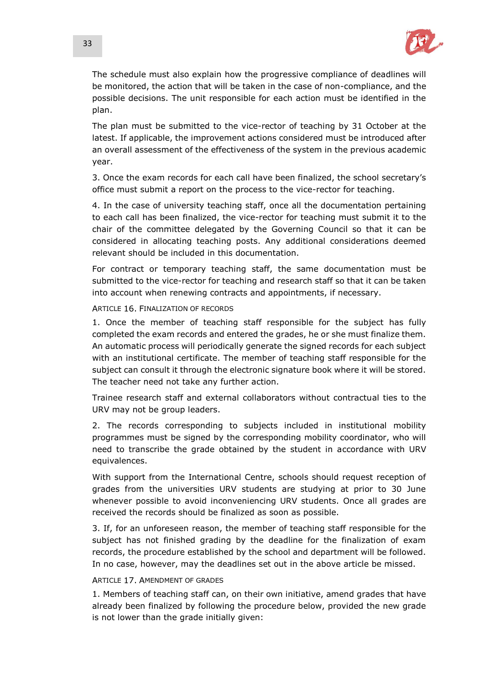

The schedule must also explain how the progressive compliance of deadlines will be monitored, the action that will be taken in the case of non-compliance, and the possible decisions. The unit responsible for each action must be identified in the plan.

The plan must be submitted to the vice-rector of teaching by 31 October at the latest. If applicable, the improvement actions considered must be introduced after an overall assessment of the effectiveness of the system in the previous academic year.

3. Once the exam records for each call have been finalized, the school secretary's office must submit a report on the process to the vice-rector for teaching.

4. In the case of university teaching staff, once all the documentation pertaining to each call has been finalized, the vice-rector for teaching must submit it to the chair of the committee delegated by the Governing Council so that it can be considered in allocating teaching posts. Any additional considerations deemed relevant should be included in this documentation.

For contract or temporary teaching staff, the same documentation must be submitted to the vice-rector for teaching and research staff so that it can be taken into account when renewing contracts and appointments, if necessary.

### ARTICLE 16 FINALIZATION OF RECORDS

1. Once the member of teaching staff responsible for the subject has fully completed the exam records and entered the grades, he or she must finalize them. An automatic process will periodically generate the signed records for each subject with an institutional certificate. The member of teaching staff responsible for the subject can consult it through the electronic signature book where it will be stored. The teacher need not take any further action.

Trainee research staff and external collaborators without contractual ties to the URV may not be group leaders.

2. The records corresponding to subjects included in institutional mobility programmes must be signed by the corresponding mobility coordinator, who will need to transcribe the grade obtained by the student in accordance with URV equivalences.

With support from the International Centre, schools should request reception of grades from the universities URV students are studying at prior to 30 June whenever possible to avoid inconveniencing URV students. Once all grades are received the records should be finalized as soon as possible.

3. If, for an unforeseen reason, the member of teaching staff responsible for the subject has not finished grading by the deadline for the finalization of exam records, the procedure established by the school and department will be followed. In no case, however, may the deadlines set out in the above article be missed.

## ARTICLE 17. AMENDMENT OF GRADES

1. Members of teaching staff can, on their own initiative, amend grades that have already been finalized by following the procedure below, provided the new grade is not lower than the grade initially given: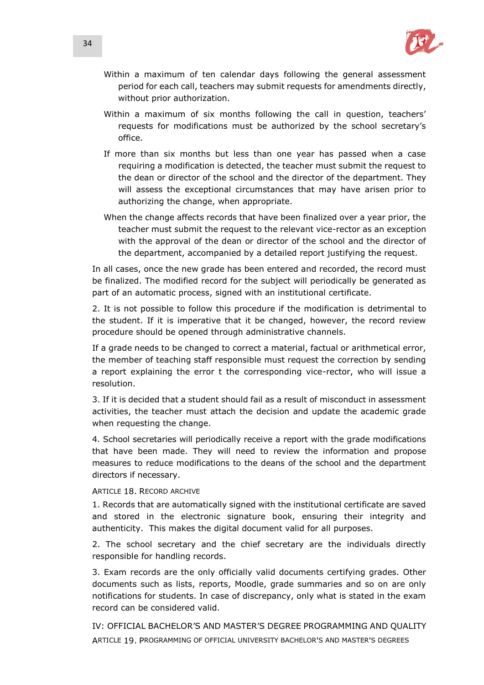

- Within a maximum of ten calendar days following the general assessment period for each call, teachers may submit requests for amendments directly, without prior authorization.
- Within a maximum of six months following the call in question, teachers' requests for modifications must be authorized by the school secretary's office.
- If more than six months but less than one year has passed when a case requiring a modification is detected, the teacher must submit the request to the dean or director of the school and the director of the department. They will assess the exceptional circumstances that may have arisen prior to authorizing the change, when appropriate.
- When the change affects records that have been finalized over a year prior, the teacher must submit the request to the relevant vice-rector as an exception with the approval of the dean or director of the school and the director of the department, accompanied by a detailed report justifying the request.

In all cases, once the new grade has been entered and recorded, the record must be finalized. The modified record for the subject will periodically be generated as part of an automatic process, signed with an institutional certificate.

2. It is not possible to follow this procedure if the modification is detrimental to the student. If it is imperative that it be changed, however, the record review procedure should be opened through administrative channels.

If a grade needs to be changed to correct a material, factual or arithmetical error, the member of teaching staff responsible must request the correction by sending a report explaining the error t the corresponding vice-rector, who will issue a resolution.

3. If it is decided that a student should fail as a result of misconduct in assessment activities, the teacher must attach the decision and update the academic grade when requesting the change.

4. School secretaries will periodically receive a report with the grade modifications that have been made. They will need to review the information and propose measures to reduce modifications to the deans of the school and the department directors if necessary.

## ARTICLE 18. RECORD ARCHIVE

1. Records that are automatically signed with the institutional certificate are saved and stored in the electronic signature book, ensuring their integrity and authenticity. This makes the digital document valid for all purposes.

2. The school secretary and the chief secretary are the individuals directly responsible for handling records.

3. Exam records are the only officially valid documents certifying grades. Other documents such as lists, reports, Moodle, grade summaries and so on are only notifications for students. In case of discrepancy, only what is stated in the exam record can be considered valid.

IV: OFFICIAL BACHELOR'S AND MASTER'S DEGREE PROGRAMMING AND QUALITY ARTICLE 19. PROGRAMMING OF OFFICIAL UNIVERSITY BACHELOR'S AND MASTER'S DEGREES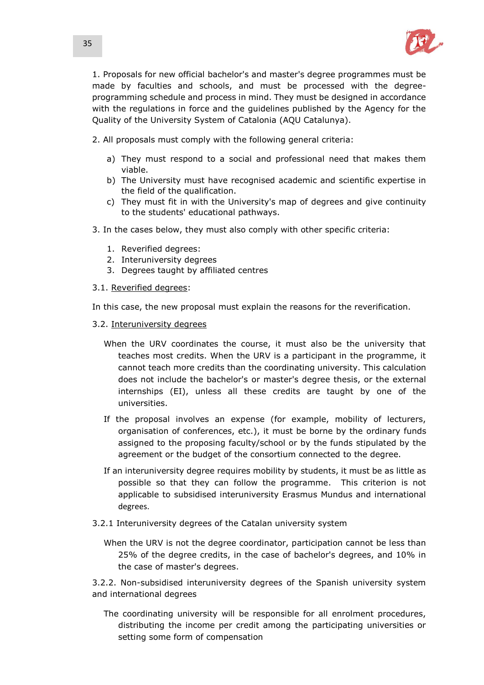

1. Proposals for new official bachelor's and master's degree programmes must be made by faculties and schools, and must be processed with the degreeprogramming schedule and process in mind. They must be designed in accordance with the regulations in force and the guidelines published by the Agency for the Quality of the University System of Catalonia (AQU Catalunya).

2. All proposals must comply with the following general criteria:

- a) They must respond to a social and professional need that makes them viable.
- b) The University must have recognised academic and scientific expertise in the field of the qualification.
- c) They must fit in with the University's map of degrees and give continuity to the students' educational pathways.
- 3. In the cases below, they must also comply with other specific criteria:
	- 1. Reverified degrees:
	- 2. Interuniversity degrees
	- 3. Degrees taught by affiliated centres
- 3.1. Reverified degrees:

In this case, the new proposal must explain the reasons for the reverification.

- 3.2. Interuniversity degrees
	- When the URV coordinates the course, it must also be the university that teaches most credits. When the URV is a participant in the programme, it cannot teach more credits than the coordinating university. This calculation does not include the bachelor's or master's degree thesis, or the external internships (EI), unless all these credits are taught by one of the universities.
	- If the proposal involves an expense (for example, mobility of lecturers, organisation of conferences, etc.), it must be borne by the ordinary funds assigned to the proposing faculty/school or by the funds stipulated by the agreement or the budget of the consortium connected to the degree.
	- If an interuniversity degree requires mobility by students, it must be as little as possible so that they can follow the programme. This criterion is not applicable to subsidised interuniversity Erasmus Mundus and international degrees.
- 3.2.1 Interuniversity degrees of the Catalan university system
	- When the URV is not the degree coordinator, participation cannot be less than 25% of the degree credits, in the case of bachelor's degrees, and 10% in the case of master's degrees.

3.2.2. Non-subsidised interuniversity degrees of the Spanish university system and international degrees

The coordinating university will be responsible for all enrolment procedures, distributing the income per credit among the participating universities or setting some form of compensation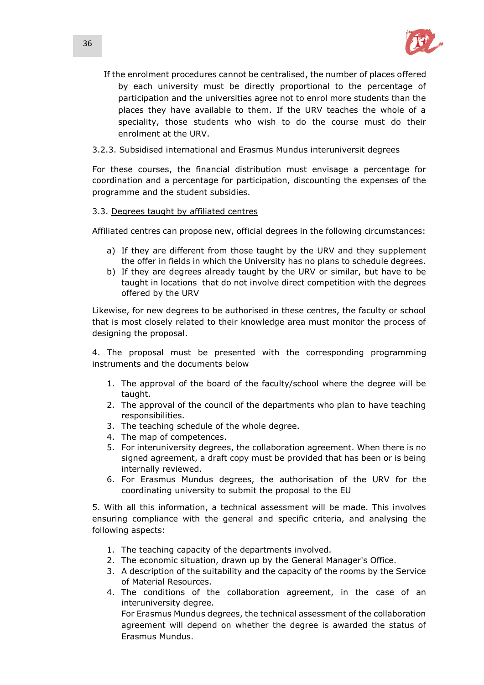

- If the enrolment procedures cannot be centralised, the number of places offered by each university must be directly proportional to the percentage of participation and the universities agree not to enrol more students than the places they have available to them. If the URV teaches the whole of a speciality, those students who wish to do the course must do their enrolment at the URV.
- 3.2.3. Subsidised international and Erasmus Mundus interuniversit degrees

For these courses, the financial distribution must envisage a percentage for coordination and a percentage for participation, discounting the expenses of the programme and the student subsidies.

# 3.3. Degrees taught by affiliated centres

Affiliated centres can propose new, official degrees in the following circumstances:

- a) If they are different from those taught by the URV and they supplement the offer in fields in which the University has no plans to schedule degrees.
- b) If they are degrees already taught by the URV or similar, but have to be taught in locations that do not involve direct competition with the degrees offered by the URV

Likewise, for new degrees to be authorised in these centres, the faculty or school that is most closely related to their knowledge area must monitor the process of designing the proposal.

4. The proposal must be presented with the corresponding programming instruments and the documents below

- 1. The approval of the board of the faculty/school where the degree will be taught.
- 2. The approval of the council of the departments who plan to have teaching responsibilities.
- 3. The teaching schedule of the whole degree.
- 4. The map of competences.
- 5. For interuniversity degrees, the collaboration agreement. When there is no signed agreement, a draft copy must be provided that has been or is being internally reviewed.
- 6. For Erasmus Mundus degrees, the authorisation of the URV for the coordinating university to submit the proposal to the EU

5. With all this information, a technical assessment will be made. This involves ensuring compliance with the general and specific criteria, and analysing the following aspects:

- 1. The teaching capacity of the departments involved.
- 2. The economic situation, drawn up by the General Manager's Office.
- 3. A description of the suitability and the capacity of the rooms by the Service of Material Resources.
- 4. The conditions of the collaboration agreement, in the case of an interuniversity degree.

For Erasmus Mundus degrees, the technical assessment of the collaboration agreement will depend on whether the degree is awarded the status of Erasmus Mundus.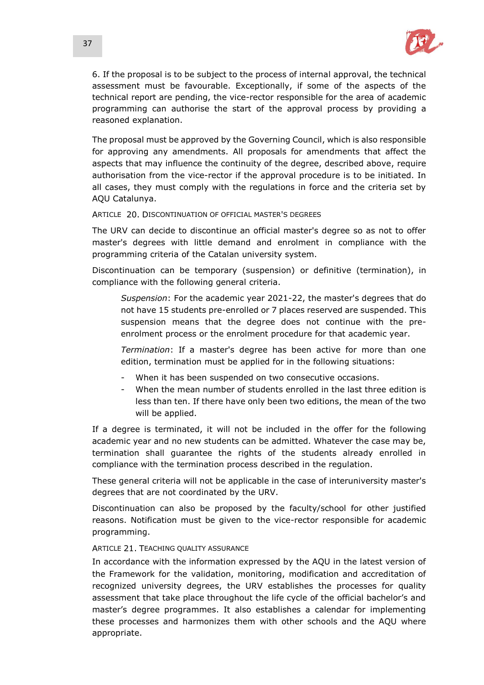

6. If the proposal is to be subject to the process of internal approval, the technical assessment must be favourable. Exceptionally, if some of the aspects of the technical report are pending, the vice-rector responsible for the area of academic programming can authorise the start of the approval process by providing a reasoned explanation.

The proposal must be approved by the Governing Council, which is also responsible for approving any amendments. All proposals for amendments that affect the aspects that may influence the continuity of the degree, described above, require authorisation from the vice-rector if the approval procedure is to be initiated. In all cases, they must comply with the regulations in force and the criteria set by AQU Catalunya.

ARTICLE 20. DISCONTINUATION OF OFFICIAL MASTER'S DEGREES

The URV can decide to discontinue an official master's degree so as not to offer master's degrees with little demand and enrolment in compliance with the programming criteria of the Catalan university system.

Discontinuation can be temporary (suspension) or definitive (termination), in compliance with the following general criteria.

*Suspension*: For the academic year 2021-22, the master's degrees that do not have 15 students pre-enrolled or 7 places reserved are suspended. This suspension means that the degree does not continue with the preenrolment process or the enrolment procedure for that academic year.

*Termination*: If a master's degree has been active for more than one edition, termination must be applied for in the following situations:

- When it has been suspended on two consecutive occasions.
- When the mean number of students enrolled in the last three edition is less than ten. If there have only been two editions, the mean of the two will be applied.

If a degree is terminated, it will not be included in the offer for the following academic year and no new students can be admitted. Whatever the case may be, termination shall guarantee the rights of the students already enrolled in compliance with the termination process described in the regulation.

These general criteria will not be applicable in the case of interuniversity master's degrees that are not coordinated by the URV.

Discontinuation can also be proposed by the faculty/school for other justified reasons. Notification must be given to the vice-rector responsible for academic programming.

## ARTICLE 21. TEACHING QUALITY ASSURANCE

In accordance with the information expressed by the AQU in the latest version of the Framework for the validation, monitoring, modification and accreditation of recognized university degrees, the URV establishes the processes for quality assessment that take place throughout the life cycle of the official bachelor's and master's degree programmes. It also establishes a calendar for implementing these processes and harmonizes them with other schools and the AQU where appropriate.